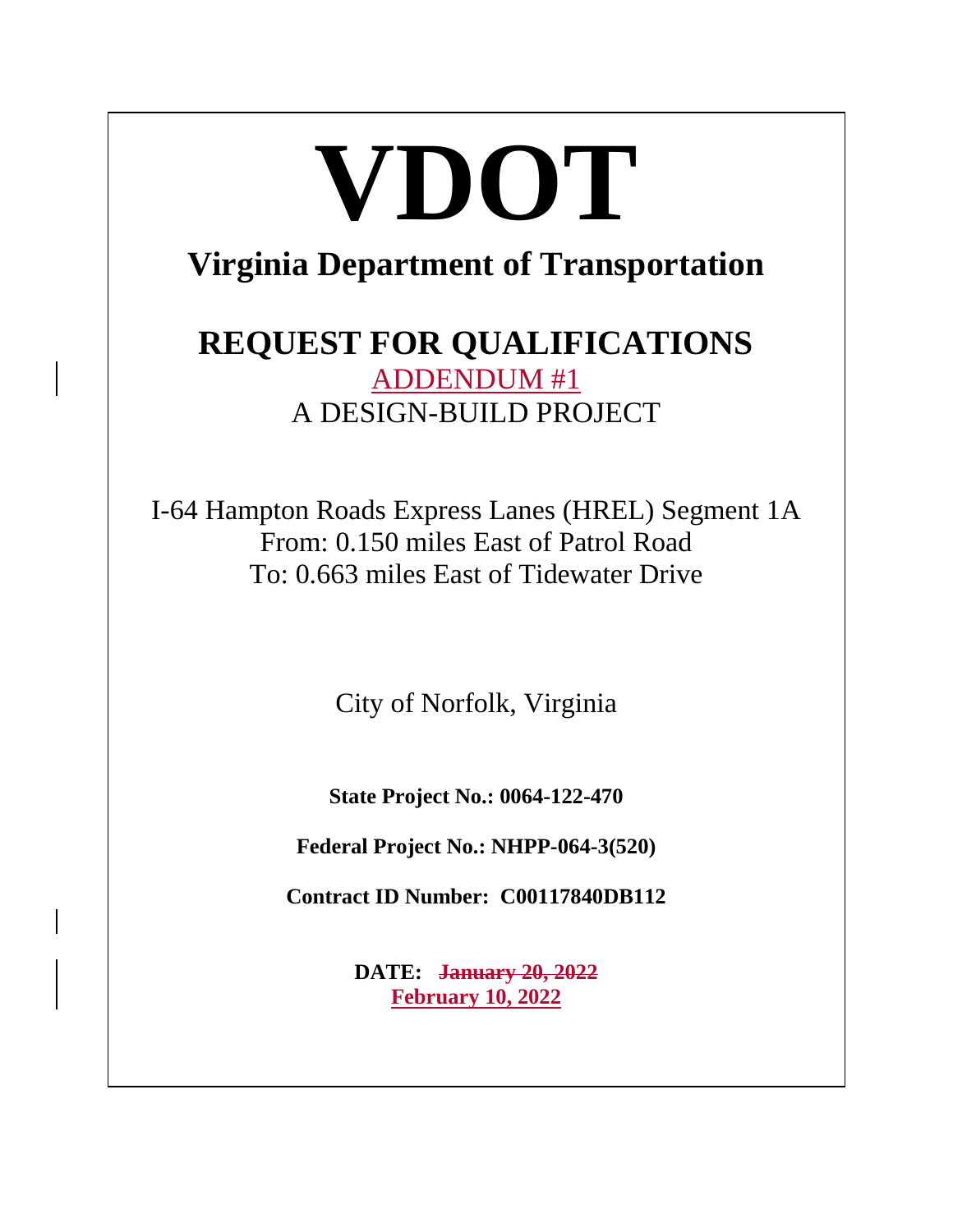# **VDOT Virginia Department of Transportation**

# **REQUEST FOR QUALIFICATIONS** ADDENDUM #1 A DESIGN-BUILD PROJECT

I-64 Hampton Roads Express Lanes (HREL) Segment 1A From: 0.150 miles East of Patrol Road To: 0.663 miles East of Tidewater Drive

City of Norfolk, Virginia

**State Project No.: 0064-122-470**

**Federal Project No.: NHPP-064-3(520)**

**Contract ID Number: C00117840DB112**

**DATE: January 20, 2022 February 10, 2022**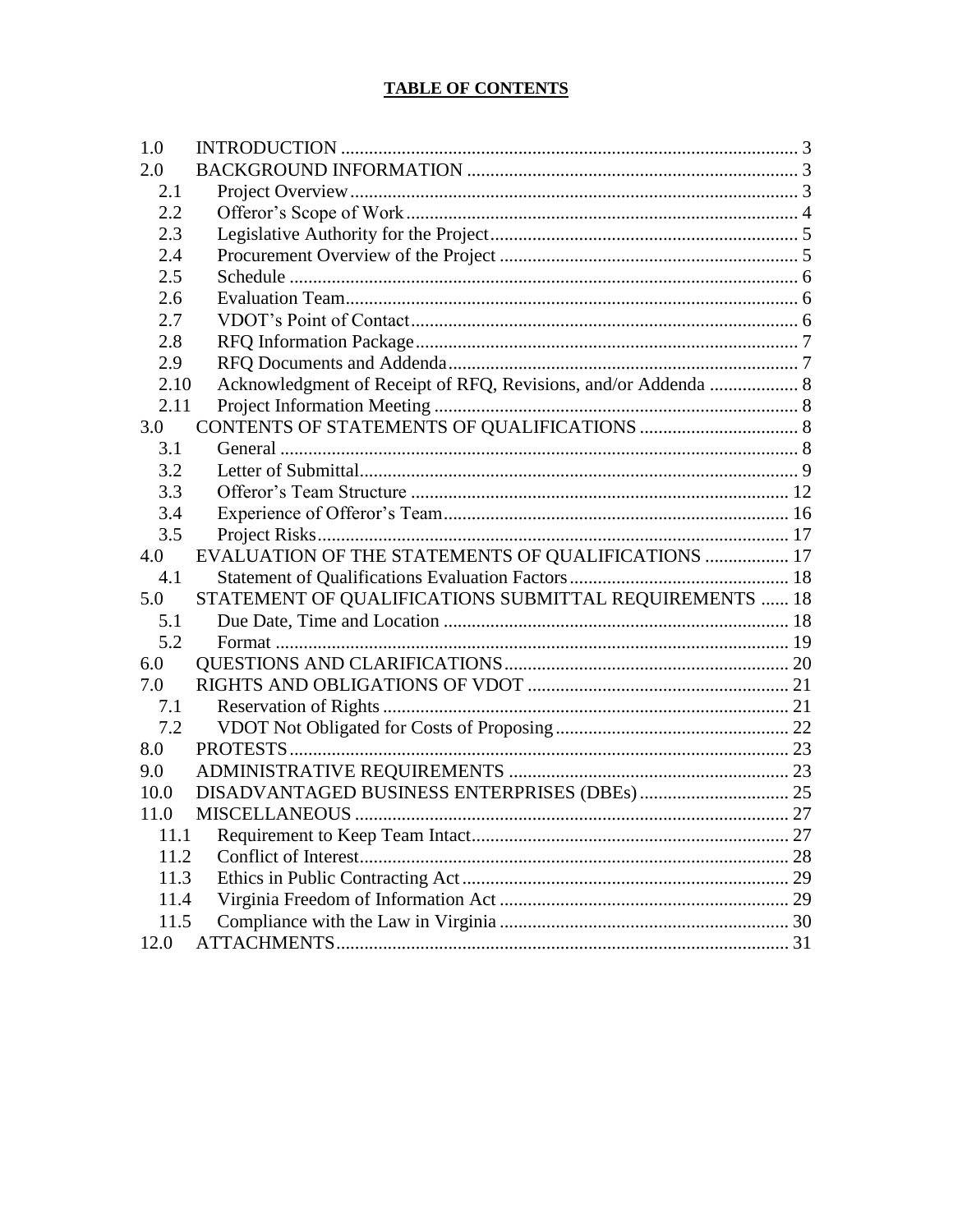# **TABLE OF CONTENTS**

| 1.0  |                                                                |  |
|------|----------------------------------------------------------------|--|
| 2.0  |                                                                |  |
| 2.1  |                                                                |  |
| 2.2  |                                                                |  |
| 2.3  |                                                                |  |
| 2.4  |                                                                |  |
| 2.5  |                                                                |  |
| 2.6  |                                                                |  |
| 2.7  |                                                                |  |
| 2.8  |                                                                |  |
| 2.9  |                                                                |  |
| 2.10 | Acknowledgment of Receipt of RFQ, Revisions, and/or Addenda  8 |  |
| 2.11 |                                                                |  |
| 3.0  |                                                                |  |
| 3.1  |                                                                |  |
| 3.2  |                                                                |  |
| 3.3  |                                                                |  |
| 3.4  |                                                                |  |
| 3.5  |                                                                |  |
| 4.0  | EVALUATION OF THE STATEMENTS OF QUALIFICATIONS  17             |  |
| 4.1  |                                                                |  |
| 5.0  | STATEMENT OF QUALIFICATIONS SUBMITTAL REQUIREMENTS  18         |  |
| 5.1  |                                                                |  |
| 5.2  |                                                                |  |
| 6.0  |                                                                |  |
| 7.0  |                                                                |  |
| 7.1  |                                                                |  |
| 7.2  |                                                                |  |
| 8.0  |                                                                |  |
| 9.0  |                                                                |  |
| 10.0 |                                                                |  |
| 11.0 |                                                                |  |
| 11.1 |                                                                |  |
| 11.2 |                                                                |  |
| 11.3 |                                                                |  |
| 11.4 |                                                                |  |
| 11.5 |                                                                |  |
| 12.0 |                                                                |  |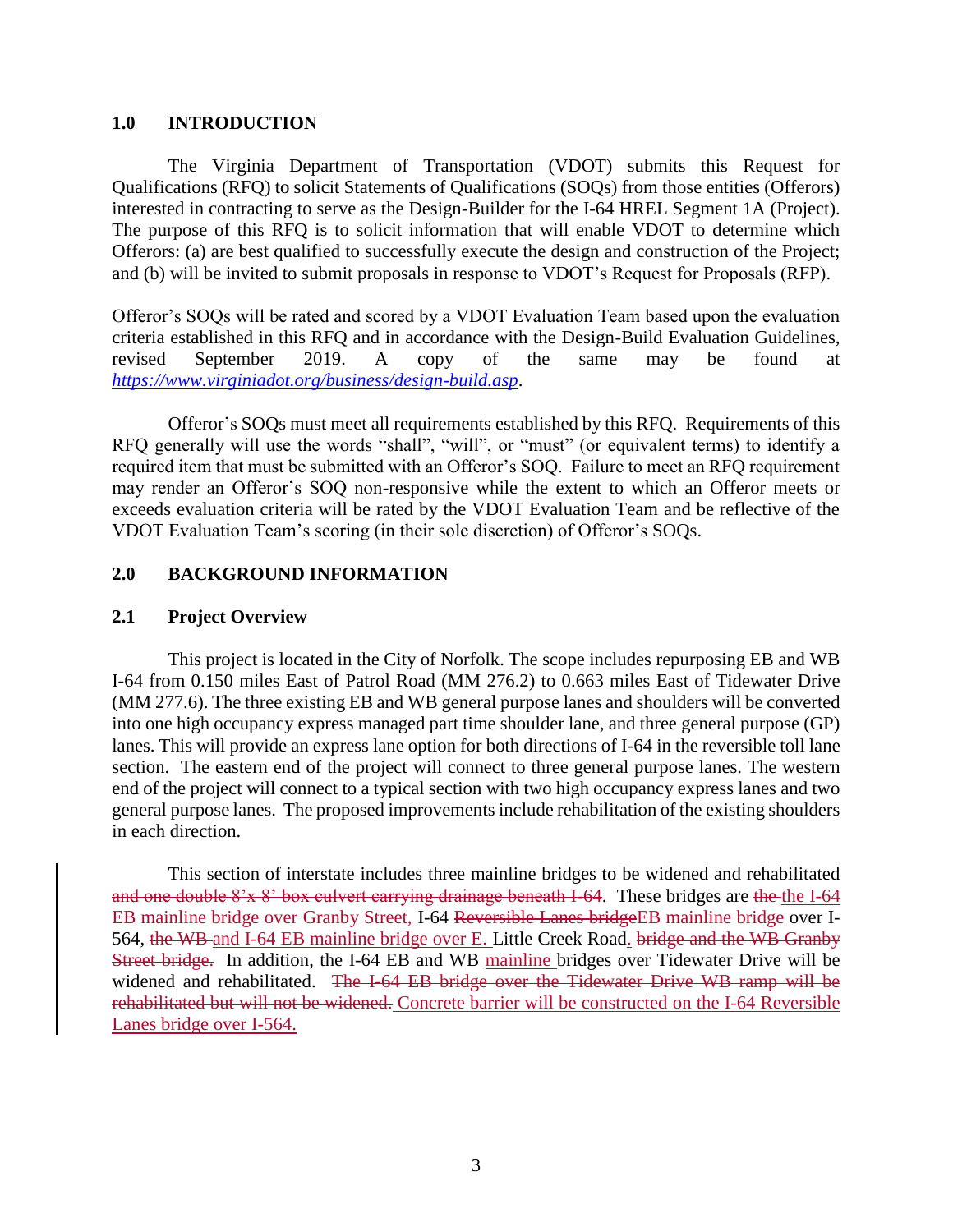#### <span id="page-2-0"></span>**1.0 INTRODUCTION**

The Virginia Department of Transportation (VDOT) submits this Request for Qualifications (RFQ) to solicit Statements of Qualifications (SOQs) from those entities (Offerors) interested in contracting to serve as the Design-Builder for the I-64 HREL Segment 1A (Project). The purpose of this RFQ is to solicit information that will enable VDOT to determine which Offerors: (a) are best qualified to successfully execute the design and construction of the Project; and (b) will be invited to submit proposals in response to VDOT's Request for Proposals (RFP).

Offeror's SOQs will be rated and scored by a VDOT Evaluation Team based upon the evaluation criteria established in this RFQ and in accordance with the Design-Build Evaluation Guidelines, revised September 2019. A copy of the same may be found at *<https://www.virginiadot.org/business/design-build.asp>*.

Offeror's SOQs must meet all requirements established by this RFQ. Requirements of this RFQ generally will use the words "shall", "will", or "must" (or equivalent terms) to identify a required item that must be submitted with an Offeror's SOQ. Failure to meet an RFQ requirement may render an Offeror's SOQ non-responsive while the extent to which an Offeror meets or exceeds evaluation criteria will be rated by the VDOT Evaluation Team and be reflective of the VDOT Evaluation Team's scoring (in their sole discretion) of Offeror's SOQs.

## <span id="page-2-1"></span>**2.0 BACKGROUND INFORMATION**

## <span id="page-2-2"></span>**2.1 Project Overview**

This project is located in the City of Norfolk. The scope includes repurposing EB and WB I-64 from 0.150 miles East of Patrol Road (MM 276.2) to 0.663 miles East of Tidewater Drive (MM 277.6). The three existing EB and WB general purpose lanes and shoulders will be converted into one high occupancy express managed part time shoulder lane, and three general purpose (GP) lanes. This will provide an express lane option for both directions of I-64 in the reversible toll lane section. The eastern end of the project will connect to three general purpose lanes. The western end of the project will connect to a typical section with two high occupancy express lanes and two general purpose lanes. The proposed improvements include rehabilitation of the existing shoulders in each direction.

This section of interstate includes three mainline bridges to be widened and rehabilitated and one double 8'x 8' box culvert carrying drainage beneath I-64. These bridges are the the I-64 EB mainline bridge over Granby Street, I-64 Reversible Lanes bridgeEB mainline bridge over I-564, the WB and I-64 EB mainline bridge over E. Little Creek Road. bridge and the WB Granby Street bridge. In addition, the I-64 EB and WB mainline bridges over Tidewater Drive will be widened and rehabilitated. The I-64 EB bridge over the Tidewater Drive WB ramp will be rehabilitated but will not be widened. Concrete barrier will be constructed on the I-64 Reversible Lanes bridge over I-564.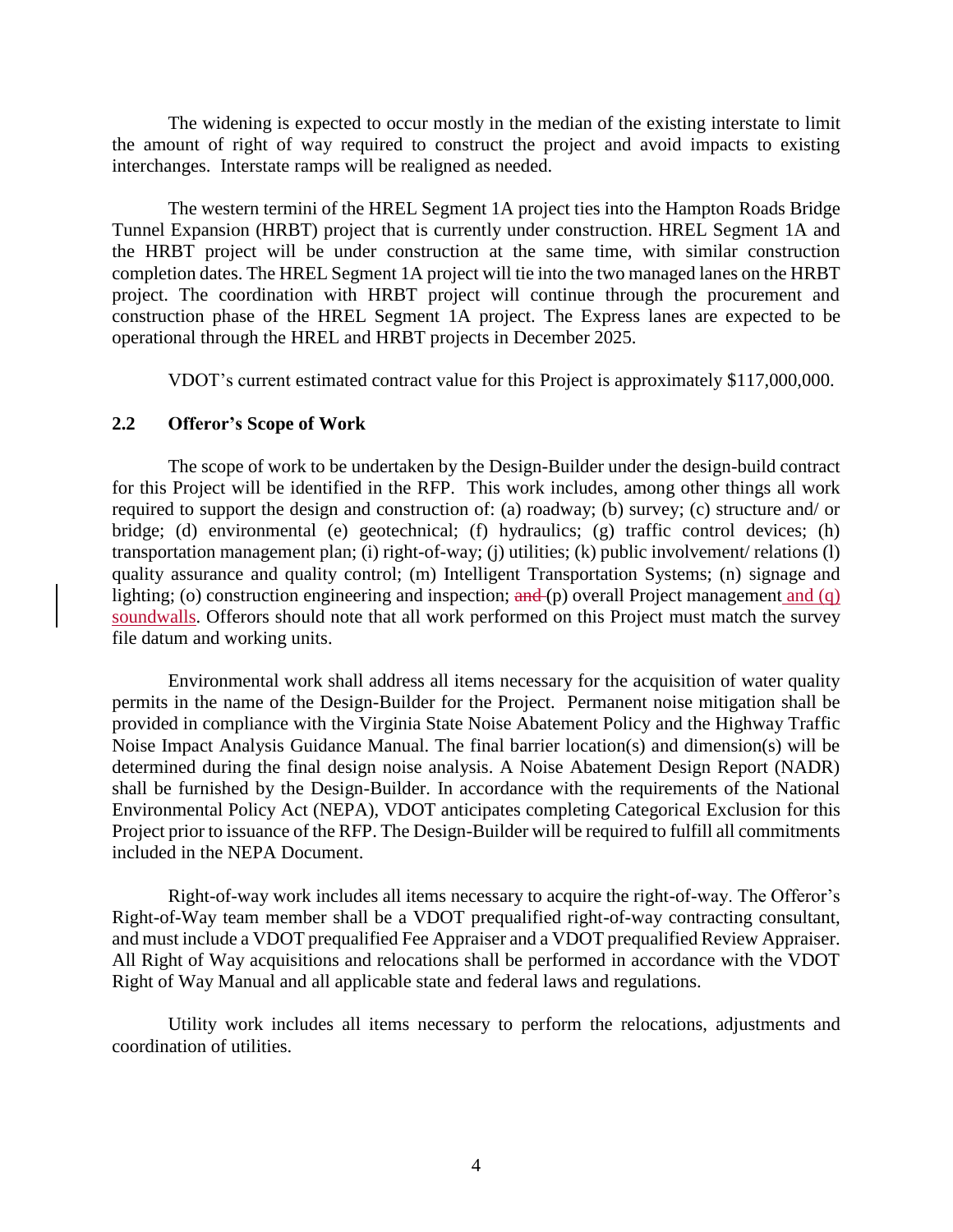The widening is expected to occur mostly in the median of the existing interstate to limit the amount of right of way required to construct the project and avoid impacts to existing interchanges. Interstate ramps will be realigned as needed.

The western termini of the HREL Segment 1A project ties into the Hampton Roads Bridge Tunnel Expansion (HRBT) project that is currently under construction. HREL Segment 1A and the HRBT project will be under construction at the same time, with similar construction completion dates. The HREL Segment 1A project will tie into the two managed lanes on the HRBT project. The coordination with HRBT project will continue through the procurement and construction phase of the HREL Segment 1A project. The Express lanes are expected to be operational through the HREL and HRBT projects in December 2025.

VDOT's current estimated contract value for this Project is approximately \$117,000,000.

#### <span id="page-3-0"></span>**2.2 Offeror's Scope of Work**

The scope of work to be undertaken by the Design-Builder under the design-build contract for this Project will be identified in the RFP. This work includes, among other things all work required to support the design and construction of: (a) roadway; (b) survey; (c) structure and/ or bridge; (d) environmental (e) geotechnical; (f) hydraulics; (g) traffic control devices; (h) transportation management plan; (i) right-of-way; (j) utilities; (k) public involvement/ relations (l) quality assurance and quality control; (m) Intelligent Transportation Systems; (n) signage and lighting; (o) construction engineering and inspection; and (p) overall Project management and (q) soundwalls. Offerors should note that all work performed on this Project must match the survey file datum and working units.

Environmental work shall address all items necessary for the acquisition of water quality permits in the name of the Design-Builder for the Project. Permanent noise mitigation shall be provided in compliance with the Virginia State Noise Abatement Policy and the Highway Traffic Noise Impact Analysis Guidance Manual. The final barrier location(s) and dimension(s) will be determined during the final design noise analysis. A Noise Abatement Design Report (NADR) shall be furnished by the Design-Builder. In accordance with the requirements of the National Environmental Policy Act (NEPA), VDOT anticipates completing Categorical Exclusion for this Project prior to issuance of the RFP. The Design-Builder will be required to fulfill all commitments included in the NEPA Document.

Right-of-way work includes all items necessary to acquire the right-of-way. The Offeror's Right-of-Way team member shall be a VDOT prequalified right-of-way contracting consultant, and must include a VDOT prequalified Fee Appraiser and a VDOT prequalified Review Appraiser. All Right of Way acquisitions and relocations shall be performed in accordance with the VDOT Right of Way Manual and all applicable state and federal laws and regulations.

Utility work includes all items necessary to perform the relocations, adjustments and coordination of utilities.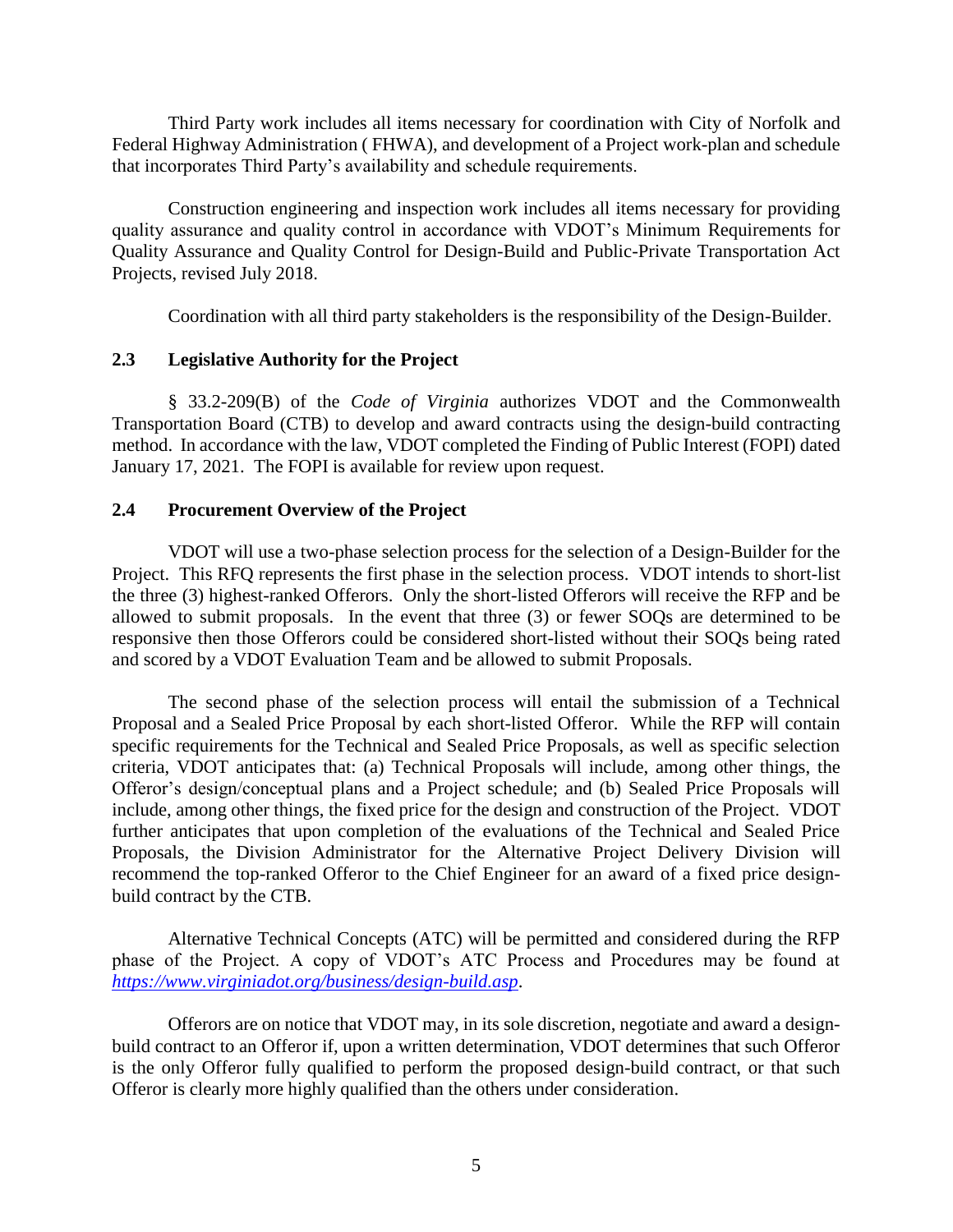Third Party work includes all items necessary for coordination with City of Norfolk and Federal Highway Administration ( FHWA), and development of a Project work-plan and schedule that incorporates Third Party's availability and schedule requirements.

Construction engineering and inspection work includes all items necessary for providing quality assurance and quality control in accordance with VDOT's Minimum Requirements for Quality Assurance and Quality Control for Design-Build and Public-Private Transportation Act Projects, revised July 2018.

Coordination with all third party stakeholders is the responsibility of the Design-Builder.

#### <span id="page-4-0"></span>**2.3 Legislative Authority for the Project**

§ 33.2-209(B) of the *Code of Virginia* authorizes VDOT and the Commonwealth Transportation Board (CTB) to develop and award contracts using the design-build contracting method. In accordance with the law, VDOT completed the Finding of Public Interest (FOPI) dated January 17, 2021. The FOPI is available for review upon request.

#### <span id="page-4-1"></span>**2.4 Procurement Overview of the Project**

VDOT will use a two-phase selection process for the selection of a Design-Builder for the Project. This RFQ represents the first phase in the selection process. VDOT intends to short-list the three (3) highest-ranked Offerors. Only the short-listed Offerors will receive the RFP and be allowed to submit proposals. In the event that three (3) or fewer SOQs are determined to be responsive then those Offerors could be considered short-listed without their SOQs being rated and scored by a VDOT Evaluation Team and be allowed to submit Proposals.

The second phase of the selection process will entail the submission of a Technical Proposal and a Sealed Price Proposal by each short-listed Offeror. While the RFP will contain specific requirements for the Technical and Sealed Price Proposals, as well as specific selection criteria, VDOT anticipates that: (a) Technical Proposals will include, among other things, the Offeror's design/conceptual plans and a Project schedule; and (b) Sealed Price Proposals will include, among other things, the fixed price for the design and construction of the Project. VDOT further anticipates that upon completion of the evaluations of the Technical and Sealed Price Proposals, the Division Administrator for the Alternative Project Delivery Division will recommend the top-ranked Offeror to the Chief Engineer for an award of a fixed price designbuild contract by the CTB.

Alternative Technical Concepts (ATC) will be permitted and considered during the RFP phase of the Project. A copy of VDOT's ATC Process and Procedures may be found at *<https://www.virginiadot.org/business/design-build.asp>*.

Offerors are on notice that VDOT may, in its sole discretion, negotiate and award a designbuild contract to an Offeror if, upon a written determination, VDOT determines that such Offeror is the only Offeror fully qualified to perform the proposed design-build contract, or that such Offeror is clearly more highly qualified than the others under consideration.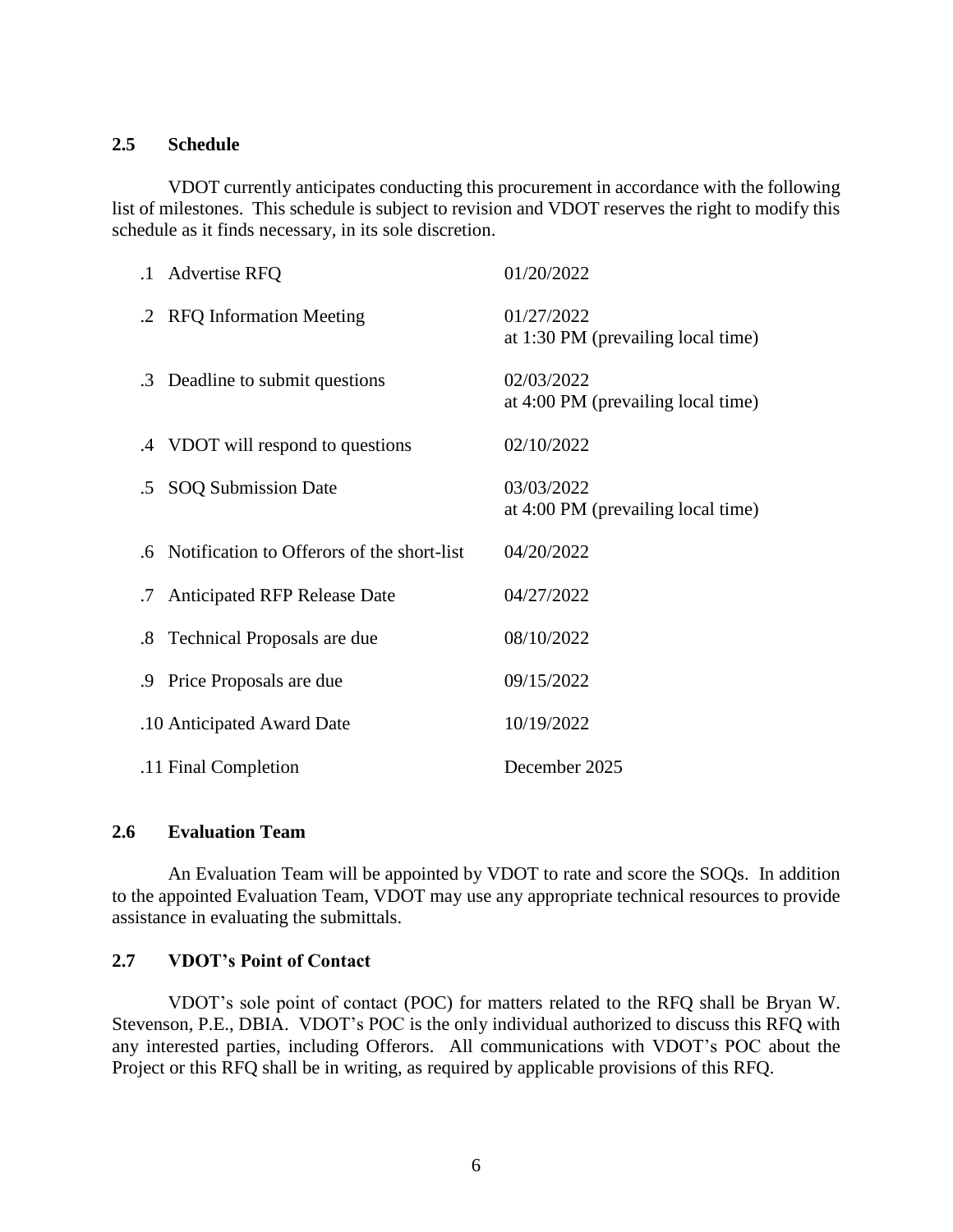#### <span id="page-5-0"></span>**2.5 Schedule**

VDOT currently anticipates conducting this procurement in accordance with the following list of milestones. This schedule is subject to revision and VDOT reserves the right to modify this schedule as it finds necessary, in its sole discretion.

| .1 Advertise RFQ                              | 01/20/2022                                       |
|-----------------------------------------------|--------------------------------------------------|
| .2 RFQ Information Meeting                    | 01/27/2022<br>at 1:30 PM (prevailing local time) |
| .3 Deadline to submit questions               | 02/03/2022<br>at 4:00 PM (prevailing local time) |
| .4 VDOT will respond to questions             | 02/10/2022                                       |
| .5 SOQ Submission Date                        | 03/03/2022<br>at 4:00 PM (prevailing local time) |
| .6 Notification to Offerors of the short-list | 04/20/2022                                       |
| .7 Anticipated RFP Release Date               | 04/27/2022                                       |
| .8 Technical Proposals are due                | 08/10/2022                                       |
| .9 Price Proposals are due                    | 09/15/2022                                       |
| .10 Anticipated Award Date                    | 10/19/2022                                       |
| .11 Final Completion                          | December 2025                                    |

#### <span id="page-5-1"></span>**2.6 Evaluation Team**

An Evaluation Team will be appointed by VDOT to rate and score the SOQs. In addition to the appointed Evaluation Team, VDOT may use any appropriate technical resources to provide assistance in evaluating the submittals.

# <span id="page-5-2"></span>**2.7 VDOT's Point of Contact**

VDOT's sole point of contact (POC) for matters related to the RFQ shall be Bryan W. Stevenson, P.E., DBIA. VDOT's POC is the only individual authorized to discuss this RFQ with any interested parties, including Offerors. All communications with VDOT's POC about the Project or this RFQ shall be in writing, as required by applicable provisions of this RFQ.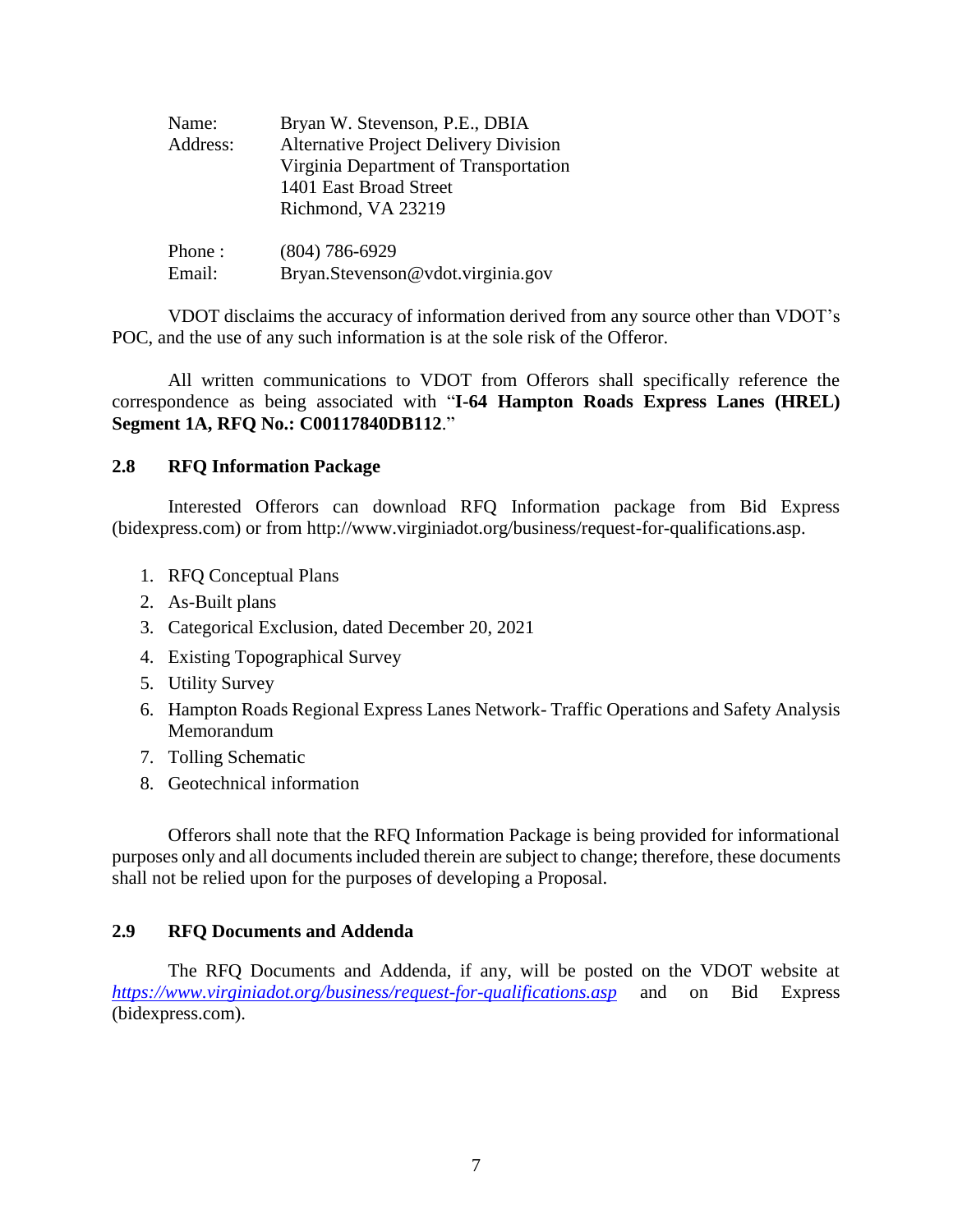| Name:    | Bryan W. Stevenson, P.E., DBIA               |
|----------|----------------------------------------------|
| Address: | <b>Alternative Project Delivery Division</b> |
|          | Virginia Department of Transportation        |
|          | 1401 East Broad Street                       |
|          | Richmond, VA 23219                           |
| Phone:   | $(804) 786 - 6929$                           |
| Email:   | Bryan.Stevenson@vdot.virginia.gov            |

VDOT disclaims the accuracy of information derived from any source other than VDOT's POC, and the use of any such information is at the sole risk of the Offeror.

All written communications to VDOT from Offerors shall specifically reference the correspondence as being associated with "**I-64 Hampton Roads Express Lanes (HREL) Segment 1A, RFQ No.: C00117840DB112**."

#### <span id="page-6-0"></span>**2.8 RFQ Information Package**

Interested Offerors can download RFQ Information package from Bid Express (bidexpress.com) or from http://www.virginiadot.org/business/request-for-qualifications.asp.

- 1. RFQ Conceptual Plans
- 2. As-Built plans
- 3. Categorical Exclusion, dated December 20, 2021
- 4. Existing Topographical Survey
- 5. Utility Survey
- 6. Hampton Roads Regional Express Lanes Network- Traffic Operations and Safety Analysis Memorandum
- 7. Tolling Schematic
- 8. Geotechnical information

Offerors shall note that the RFQ Information Package is being provided for informational purposes only and all documents included therein are subject to change; therefore, these documents shall not be relied upon for the purposes of developing a Proposal.

#### <span id="page-6-1"></span>**2.9 RFQ Documents and Addenda**

 The RFQ Documents and Addenda, if any, will be posted on the VDOT website at *<https://www.virginiadot.org/business/request-for-qualifications.asp>* and on Bid Express (bidexpress.com).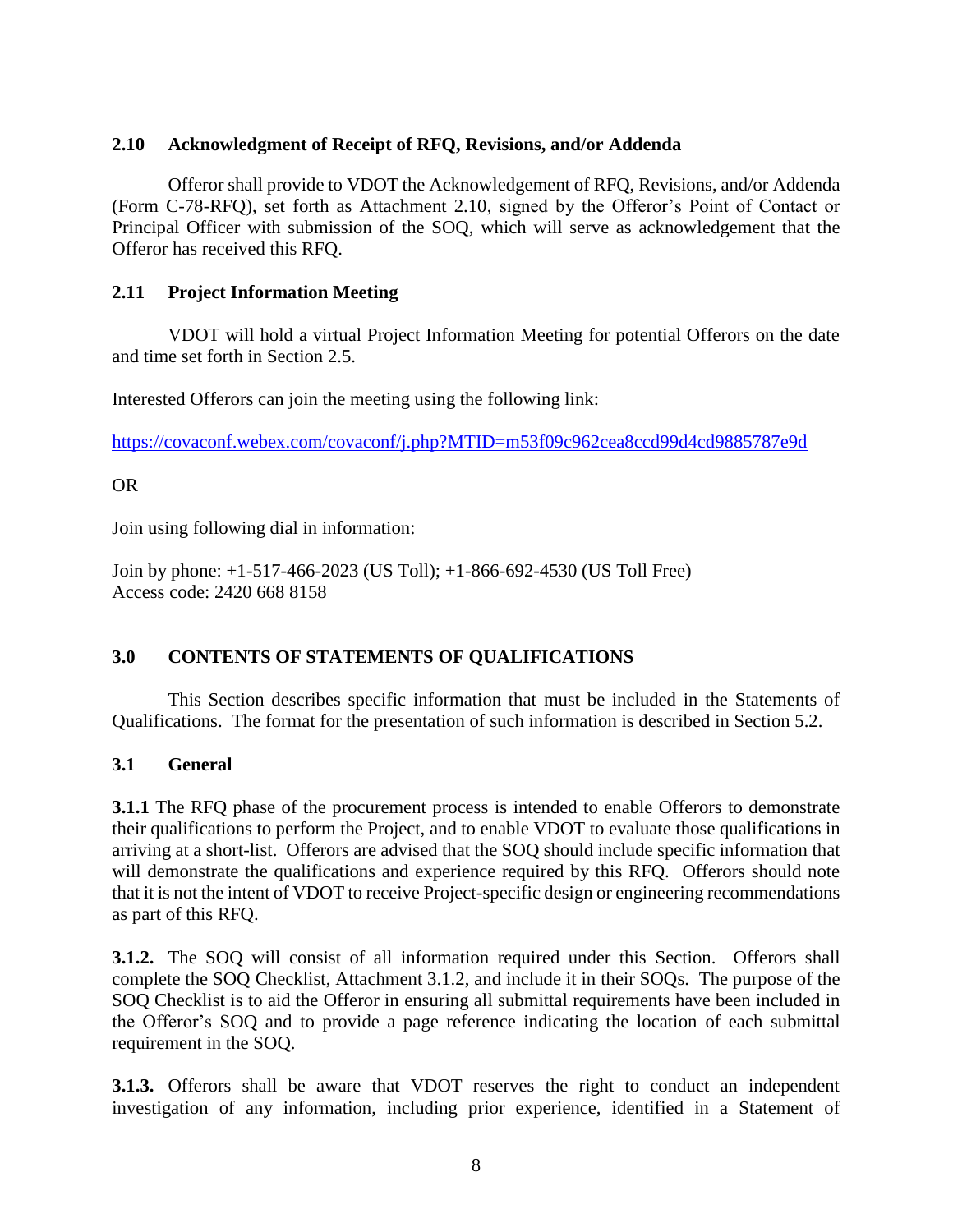#### <span id="page-7-0"></span>**2.10 Acknowledgment of Receipt of RFQ, Revisions, and/or Addenda**

Offeror shall provide to VDOT the Acknowledgement of RFQ, Revisions, and/or Addenda (Form C-78-RFQ), set forth as Attachment 2.10, signed by the Offeror's Point of Contact or Principal Officer with submission of the SOQ, which will serve as acknowledgement that the Offeror has received this RFQ.

# <span id="page-7-1"></span>**2.11 Project Information Meeting**

VDOT will hold a virtual Project Information Meeting for potential Offerors on the date and time set forth in Section 2.5.

Interested Offerors can join the meeting using the following link:

<https://covaconf.webex.com/covaconf/j.php?MTID=m53f09c962cea8ccd99d4cd9885787e9d>

## OR

Join using following dial in information:

Join by phone: +1-517-466-2023 (US Toll); +1-866-692-4530 (US Toll Free) Access code: 2420 668 8158

# <span id="page-7-2"></span>**3.0 CONTENTS OF STATEMENTS OF QUALIFICATIONS**

This Section describes specific information that must be included in the Statements of Qualifications. The format for the presentation of such information is described in Section 5.2.

# <span id="page-7-3"></span>**3.1 General**

**3.1.1** The RFQ phase of the procurement process is intended to enable Offerors to demonstrate their qualifications to perform the Project, and to enable VDOT to evaluate those qualifications in arriving at a short-list. Offerors are advised that the SOQ should include specific information that will demonstrate the qualifications and experience required by this RFQ. Offerors should note that it is not the intent of VDOT to receive Project-specific design or engineering recommendations as part of this RFQ.

**3.1.2.** The SOQ will consist of all information required under this Section. Offerors shall complete the SOQ Checklist, Attachment 3.1.2, and include it in their SOQs. The purpose of the SOQ Checklist is to aid the Offeror in ensuring all submittal requirements have been included in the Offeror's SOQ and to provide a page reference indicating the location of each submittal requirement in the SOQ.

**3.1.3.** Offerors shall be aware that VDOT reserves the right to conduct an independent investigation of any information, including prior experience, identified in a Statement of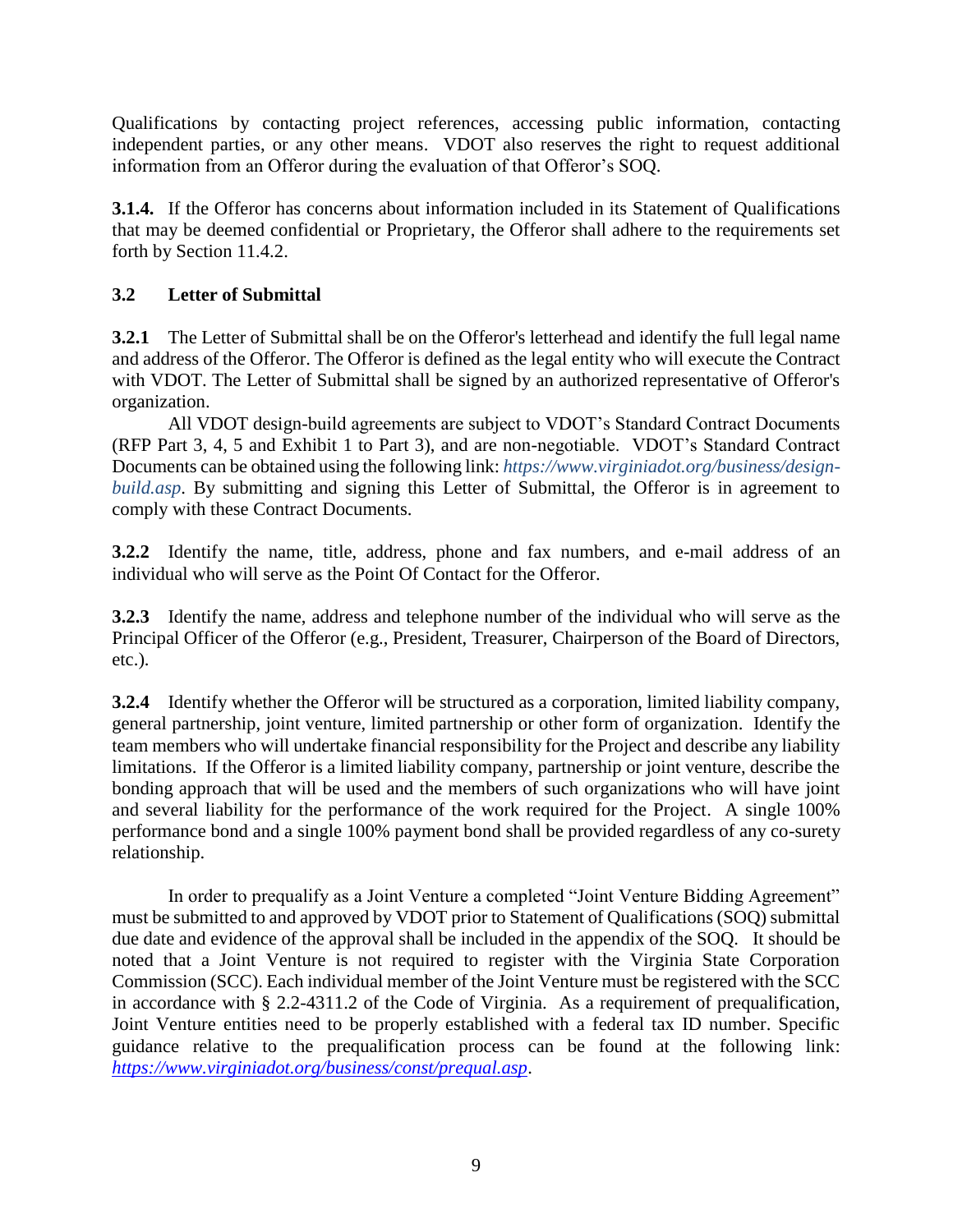Qualifications by contacting project references, accessing public information, contacting independent parties, or any other means. VDOT also reserves the right to request additional information from an Offeror during the evaluation of that Offeror's SOQ.

**3.1.4.** If the Offeror has concerns about information included in its Statement of Qualifications that may be deemed confidential or Proprietary, the Offeror shall adhere to the requirements set forth by Section 11.4.2.

# <span id="page-8-0"></span>**3.2 Letter of Submittal**

**3.2.1** The Letter of Submittal shall be on the Offeror's letterhead and identify the full legal name and address of the Offeror. The Offeror is defined as the legal entity who will execute the Contract with VDOT. The Letter of Submittal shall be signed by an authorized representative of Offeror's organization.

All VDOT design-build agreements are subject to VDOT's Standard Contract Documents (RFP Part 3, 4, 5 and Exhibit 1 to Part 3), and are non-negotiable. VDOT's Standard Contract Documents can be obtained using the following link: *[https://www.virginiadot.org/business/design](https://www.virginiadot.org/business/design-build.asp)[build.asp](https://www.virginiadot.org/business/design-build.asp).* By submitting and signing this Letter of Submittal, the Offeror is in agreement to comply with these Contract Documents.

**3.2.2** Identify the name, title, address, phone and fax numbers, and e-mail address of an individual who will serve as the Point Of Contact for the Offeror.

**3.2.3** Identify the name, address and telephone number of the individual who will serve as the Principal Officer of the Offeror (e.g., President, Treasurer, Chairperson of the Board of Directors, etc.).

**3.2.4** Identify whether the Offeror will be structured as a corporation, limited liability company, general partnership, joint venture, limited partnership or other form of organization. Identify the team members who will undertake financial responsibility for the Project and describe any liability limitations. If the Offeror is a limited liability company, partnership or joint venture, describe the bonding approach that will be used and the members of such organizations who will have joint and several liability for the performance of the work required for the Project. A single 100% performance bond and a single 100% payment bond shall be provided regardless of any co-surety relationship.

In order to prequalify as a Joint Venture a completed "Joint Venture Bidding Agreement" must be submitted to and approved by VDOT prior to Statement of Qualifications (SOQ) submittal due date and evidence of the approval shall be included in the appendix of the SOQ. It should be noted that a Joint Venture is not required to register with the Virginia State Corporation Commission (SCC). Each individual member of the Joint Venture must be registered with the SCC in accordance with § 2.2-4311.2 of the Code of Virginia. As a requirement of prequalification, Joint Venture entities need to be properly established with a federal tax ID number. Specific guidance relative to the prequalification process can be found at the following link: *<https://www.virginiadot.org/business/const/prequal.asp>*.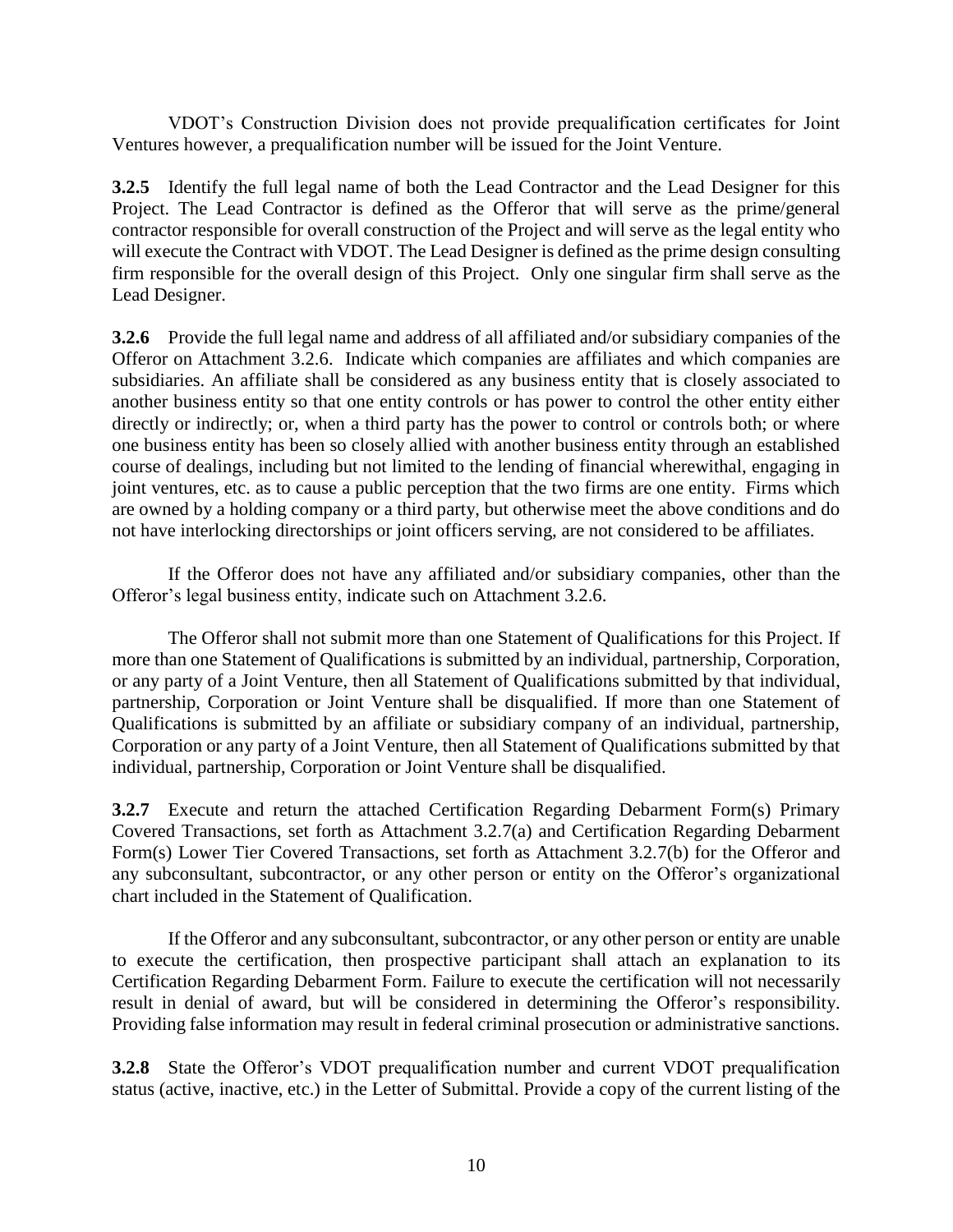VDOT's Construction Division does not provide prequalification certificates for Joint Ventures however, a prequalification number will be issued for the Joint Venture.

**3.2.5** Identify the full legal name of both the Lead Contractor and the Lead Designer for this Project. The Lead Contractor is defined as the Offeror that will serve as the prime/general contractor responsible for overall construction of the Project and will serve as the legal entity who will execute the Contract with VDOT. The Lead Designer is defined as the prime design consulting firm responsible for the overall design of this Project. Only one singular firm shall serve as the Lead Designer.

**3.2.6** Provide the full legal name and address of all affiliated and/or subsidiary companies of the Offeror on Attachment 3.2.6. Indicate which companies are affiliates and which companies are subsidiaries. An affiliate shall be considered as any business entity that is closely associated to another business entity so that one entity controls or has power to control the other entity either directly or indirectly; or, when a third party has the power to control or controls both; or where one business entity has been so closely allied with another business entity through an established course of dealings, including but not limited to the lending of financial wherewithal, engaging in joint ventures, etc. as to cause a public perception that the two firms are one entity. Firms which are owned by a holding company or a third party, but otherwise meet the above conditions and do not have interlocking directorships or joint officers serving, are not considered to be affiliates.

If the Offeror does not have any affiliated and/or subsidiary companies, other than the Offeror's legal business entity, indicate such on Attachment 3.2.6.

The Offeror shall not submit more than one Statement of Qualifications for this Project. If more than one Statement of Qualifications is submitted by an individual, partnership, Corporation, or any party of a Joint Venture, then all Statement of Qualifications submitted by that individual, partnership, Corporation or Joint Venture shall be disqualified. If more than one Statement of Qualifications is submitted by an affiliate or subsidiary company of an individual, partnership, Corporation or any party of a Joint Venture, then all Statement of Qualifications submitted by that individual, partnership, Corporation or Joint Venture shall be disqualified.

**3.2.7** Execute and return the attached Certification Regarding Debarment Form(s) Primary Covered Transactions, set forth as Attachment 3.2.7(a) and Certification Regarding Debarment Form(s) Lower Tier Covered Transactions, set forth as Attachment 3.2.7(b) for the Offeror and any subconsultant, subcontractor, or any other person or entity on the Offeror's organizational chart included in the Statement of Qualification.

If the Offeror and any subconsultant, subcontractor, or any other person or entity are unable to execute the certification, then prospective participant shall attach an explanation to its Certification Regarding Debarment Form. Failure to execute the certification will not necessarily result in denial of award, but will be considered in determining the Offeror's responsibility. Providing false information may result in federal criminal prosecution or administrative sanctions.

**3.2.8** State the Offeror's VDOT prequalification number and current VDOT prequalification status (active, inactive, etc.) in the Letter of Submittal. Provide a copy of the current listing of the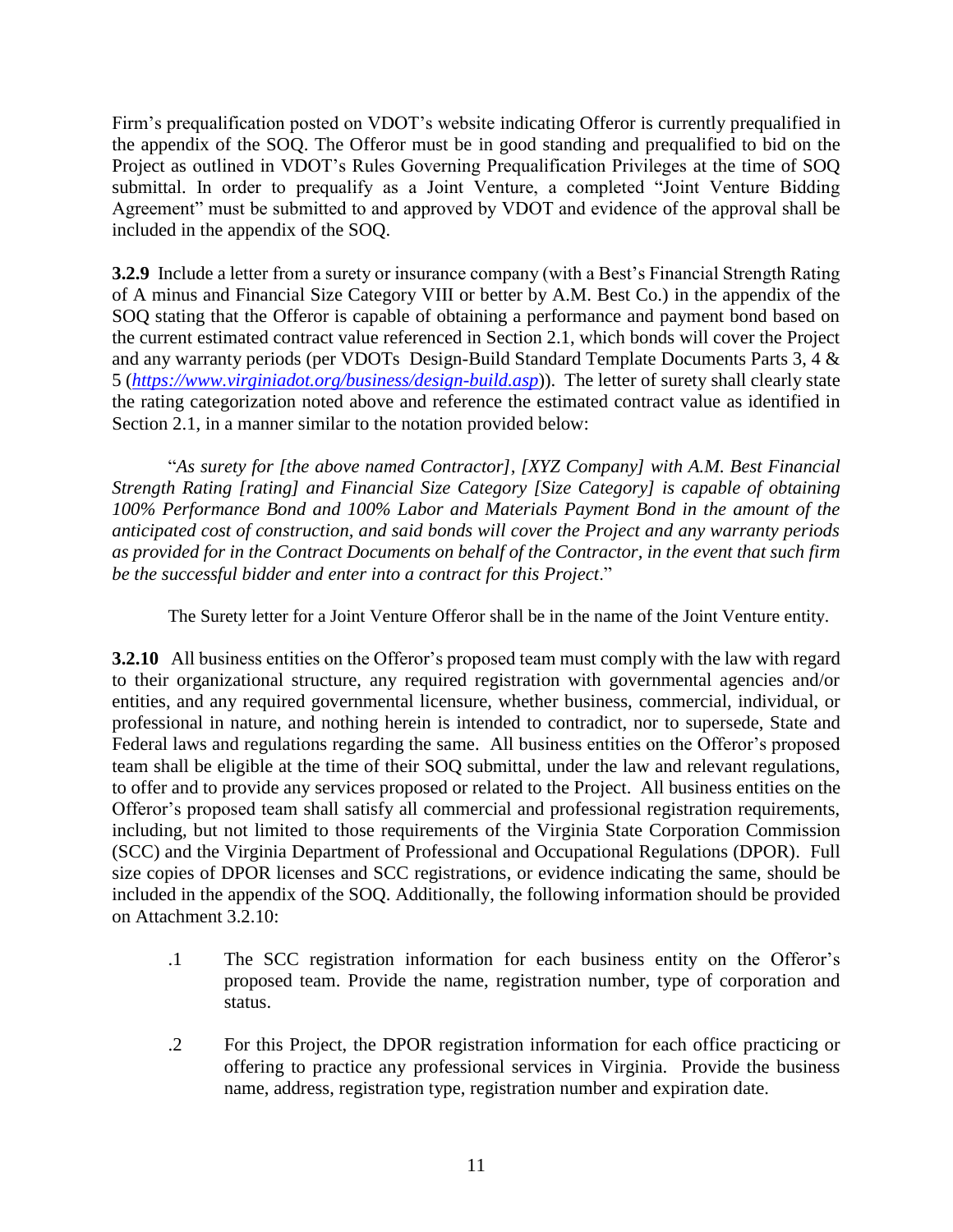Firm's prequalification posted on VDOT's website indicating Offeror is currently prequalified in the appendix of the SOQ. The Offeror must be in good standing and prequalified to bid on the Project as outlined in VDOT's Rules Governing Prequalification Privileges at the time of SOQ submittal. In order to prequalify as a Joint Venture, a completed "Joint Venture Bidding Agreement" must be submitted to and approved by VDOT and evidence of the approval shall be included in the appendix of the SOQ.

**3.2.9** Include a letter from a surety or insurance company (with a Best's Financial Strength Rating of A minus and Financial Size Category VIII or better by A.M. Best Co.) in the appendix of the SOQ stating that the Offeror is capable of obtaining a performance and payment bond based on the current estimated contract value referenced in Section 2.1, which bonds will cover the Project and any warranty periods (per VDOTs Design-Build Standard Template Documents Parts 3, 4 & 5 (*<https://www.virginiadot.org/business/design-build.asp>*)). The letter of surety shall clearly state the rating categorization noted above and reference the estimated contract value as identified in Section 2.1, in a manner similar to the notation provided below:

"*As surety for [the above named Contractor], [XYZ Company] with A.M. Best Financial Strength Rating [rating] and Financial Size Category [Size Category] is capable of obtaining 100% Performance Bond and 100% Labor and Materials Payment Bond in the amount of the anticipated cost of construction, and said bonds will cover the Project and any warranty periods as provided for in the Contract Documents on behalf of the Contractor, in the event that such firm be the successful bidder and enter into a contract for this Project*."

The Surety letter for a Joint Venture Offeror shall be in the name of the Joint Venture entity.

**3.2.10** All business entities on the Offeror's proposed team must comply with the law with regard to their organizational structure, any required registration with governmental agencies and/or entities, and any required governmental licensure, whether business, commercial, individual, or professional in nature, and nothing herein is intended to contradict, nor to supersede, State and Federal laws and regulations regarding the same. All business entities on the Offeror's proposed team shall be eligible at the time of their SOQ submittal, under the law and relevant regulations, to offer and to provide any services proposed or related to the Project. All business entities on the Offeror's proposed team shall satisfy all commercial and professional registration requirements, including, but not limited to those requirements of the Virginia State Corporation Commission (SCC) and the Virginia Department of Professional and Occupational Regulations (DPOR). Full size copies of DPOR licenses and SCC registrations, or evidence indicating the same, should be included in the appendix of the SOQ. Additionally, the following information should be provided on Attachment 3.2.10:

- .1 The SCC registration information for each business entity on the Offeror's proposed team. Provide the name, registration number, type of corporation and status.
- .2 For this Project, the DPOR registration information for each office practicing or offering to practice any professional services in Virginia. Provide the business name, address, registration type, registration number and expiration date.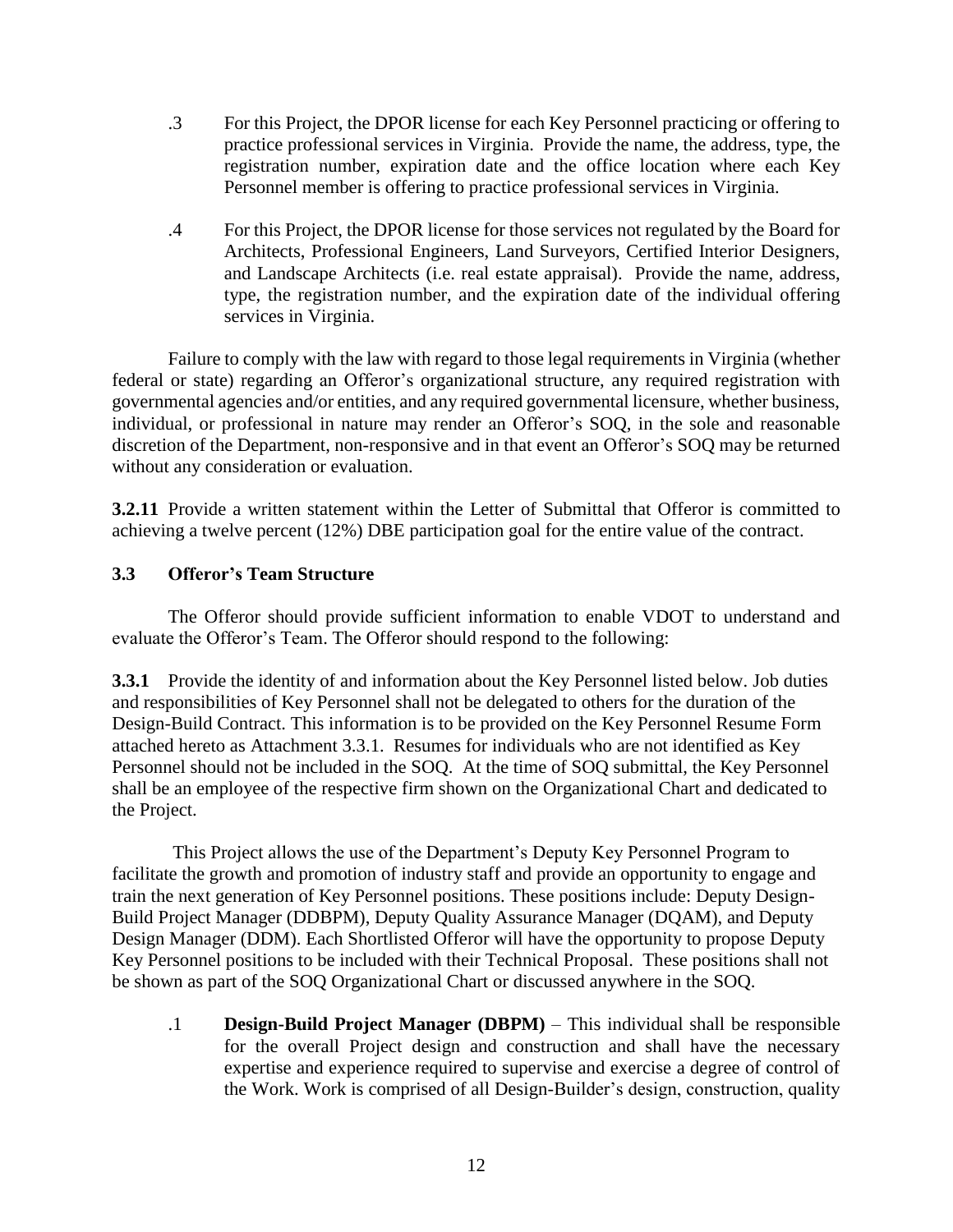- .3 For this Project, the DPOR license for each Key Personnel practicing or offering to practice professional services in Virginia. Provide the name, the address, type, the registration number, expiration date and the office location where each Key Personnel member is offering to practice professional services in Virginia.
- .4 For this Project, the DPOR license for those services not regulated by the Board for Architects, Professional Engineers, Land Surveyors, Certified Interior Designers, and Landscape Architects (i.e. real estate appraisal). Provide the name, address, type, the registration number, and the expiration date of the individual offering services in Virginia.

Failure to comply with the law with regard to those legal requirements in Virginia (whether federal or state) regarding an Offeror's organizational structure, any required registration with governmental agencies and/or entities, and any required governmental licensure, whether business, individual, or professional in nature may render an Offeror's SOQ, in the sole and reasonable discretion of the Department, non-responsive and in that event an Offeror's SOQ may be returned without any consideration or evaluation.

**3.2.11** Provide a written statement within the Letter of Submittal that Offeror is committed to achieving a twelve percent (12%) DBE participation goal for the entire value of the contract.

# <span id="page-11-0"></span>**3.3 Offeror's Team Structure**

The Offeror should provide sufficient information to enable VDOT to understand and evaluate the Offeror's Team. The Offeror should respond to the following:

**3.3.1** Provide the identity of and information about the Key Personnel listed below. Job duties and responsibilities of Key Personnel shall not be delegated to others for the duration of the Design-Build Contract. This information is to be provided on the Key Personnel Resume Form attached hereto as Attachment 3.3.1. Resumes for individuals who are not identified as Key Personnel should not be included in the SOQ. At the time of SOQ submittal, the Key Personnel shall be an employee of the respective firm shown on the Organizational Chart and dedicated to the Project.

This Project allows the use of the Department's Deputy Key Personnel Program to facilitate the growth and promotion of industry staff and provide an opportunity to engage and train the next generation of Key Personnel positions. These positions include: Deputy Design-Build Project Manager (DDBPM), Deputy Quality Assurance Manager (DQAM), and Deputy Design Manager (DDM). Each Shortlisted Offeror will have the opportunity to propose Deputy Key Personnel positions to be included with their Technical Proposal. These positions shall not be shown as part of the SOQ Organizational Chart or discussed anywhere in the SOQ.

.1 **Design-Build Project Manager (DBPM)** – This individual shall be responsible for the overall Project design and construction and shall have the necessary expertise and experience required to supervise and exercise a degree of control of the Work. Work is comprised of all Design-Builder's design, construction, quality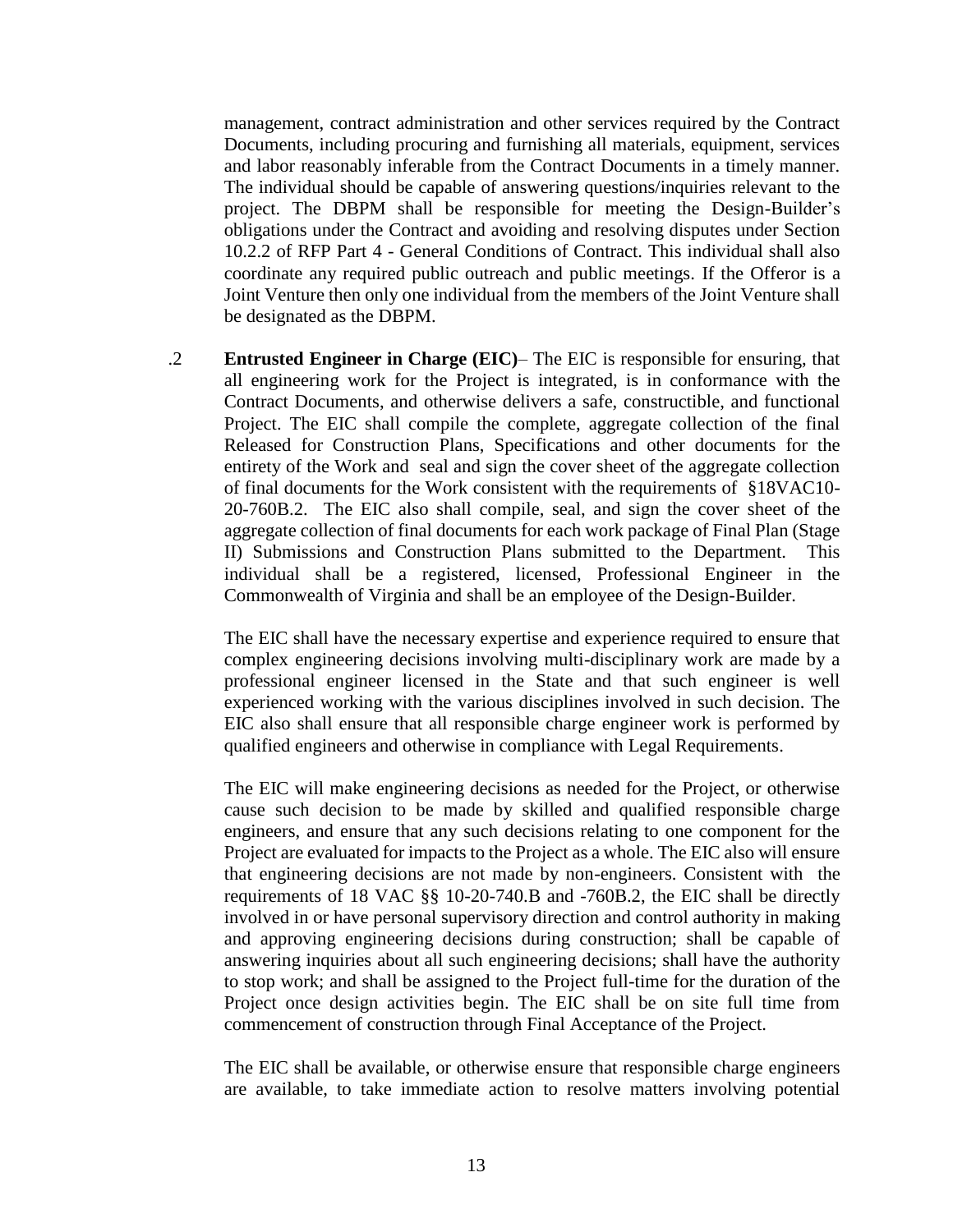management, contract administration and other services required by the Contract Documents, including procuring and furnishing all materials, equipment, services and labor reasonably inferable from the Contract Documents in a timely manner. The individual should be capable of answering questions/inquiries relevant to the project. The DBPM shall be responsible for meeting the Design-Builder's obligations under the Contract and avoiding and resolving disputes under Section 10.2.2 of RFP Part 4 - General Conditions of Contract. This individual shall also coordinate any required public outreach and public meetings. If the Offeror is a Joint Venture then only one individual from the members of the Joint Venture shall be designated as the DBPM.

.2 **Entrusted Engineer in Charge (EIC)**– The EIC is responsible for ensuring, that all engineering work for the Project is integrated, is in conformance with the Contract Documents, and otherwise delivers a safe, constructible, and functional Project. The EIC shall compile the complete, aggregate collection of the final Released for Construction Plans, Specifications and other documents for the entirety of the Work and seal and sign the cover sheet of the aggregate collection of final documents for the Work consistent with the requirements of §18VAC10- 20-760B.2. The EIC also shall compile, seal, and sign the cover sheet of the aggregate collection of final documents for each work package of Final Plan (Stage II) Submissions and Construction Plans submitted to the Department. This individual shall be a registered, licensed, Professional Engineer in the Commonwealth of Virginia and shall be an employee of the Design-Builder.

The EIC shall have the necessary expertise and experience required to ensure that complex engineering decisions involving multi-disciplinary work are made by a professional engineer licensed in the State and that such engineer is well experienced working with the various disciplines involved in such decision. The EIC also shall ensure that all responsible charge engineer work is performed by qualified engineers and otherwise in compliance with Legal Requirements.

The EIC will make engineering decisions as needed for the Project, or otherwise cause such decision to be made by skilled and qualified responsible charge engineers, and ensure that any such decisions relating to one component for the Project are evaluated for impacts to the Project as a whole. The EIC also will ensure that engineering decisions are not made by non-engineers. Consistent with the requirements of 18 VAC §§ 10-20-740.B and -760B.2, the EIC shall be directly involved in or have personal supervisory direction and control authority in making and approving engineering decisions during construction; shall be capable of answering inquiries about all such engineering decisions; shall have the authority to stop work; and shall be assigned to the Project full-time for the duration of the Project once design activities begin. The EIC shall be on site full time from commencement of construction through Final Acceptance of the Project.

The EIC shall be available, or otherwise ensure that responsible charge engineers are available, to take immediate action to resolve matters involving potential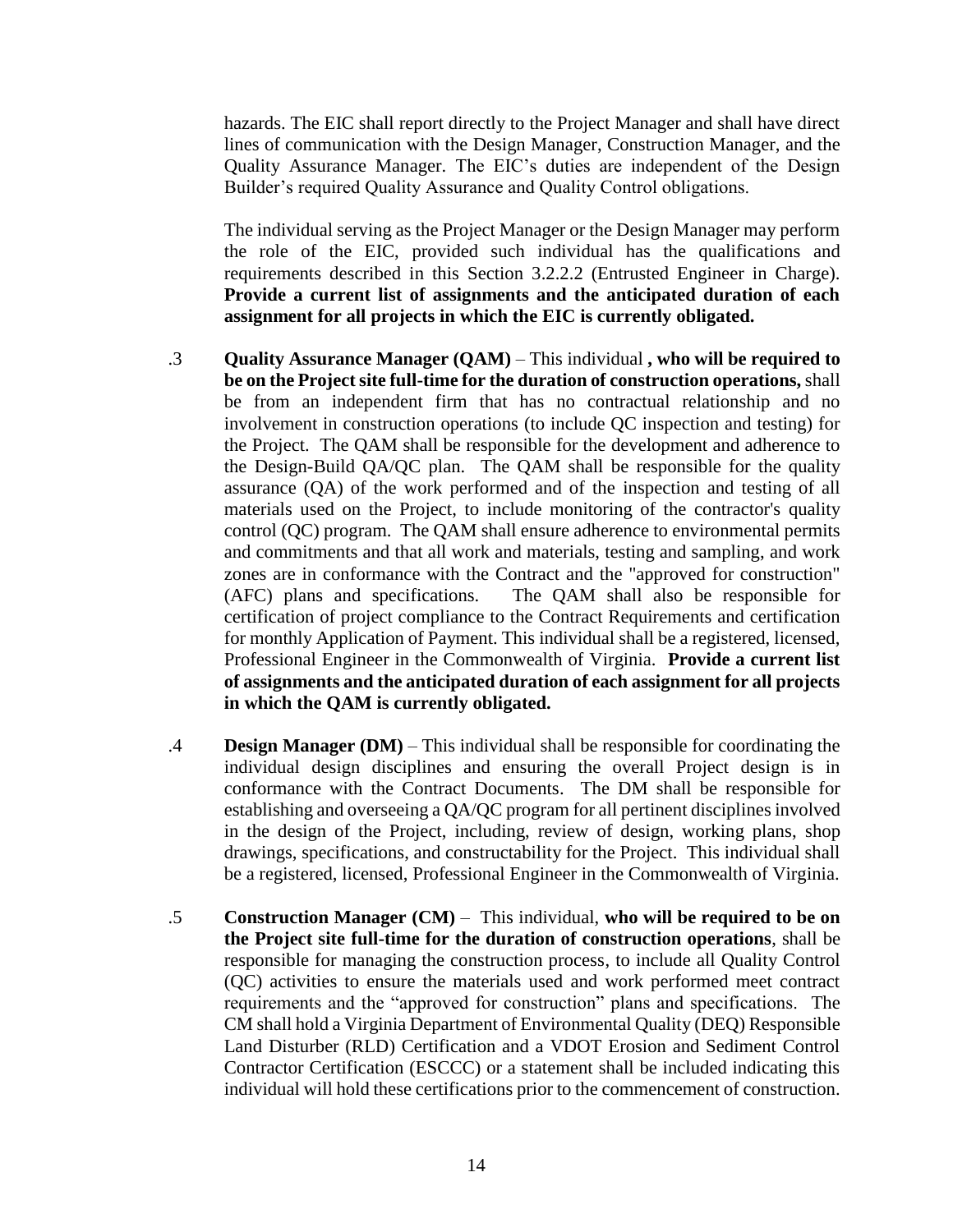hazards. The EIC shall report directly to the Project Manager and shall have direct lines of communication with the Design Manager, Construction Manager, and the Quality Assurance Manager. The EIC's duties are independent of the Design Builder's required Quality Assurance and Quality Control obligations.

The individual serving as the Project Manager or the Design Manager may perform the role of the EIC, provided such individual has the qualifications and requirements described in this Section 3.2.2.2 (Entrusted Engineer in Charge). **Provide a current list of assignments and the anticipated duration of each assignment for all projects in which the EIC is currently obligated.**

- .3 **Quality Assurance Manager (QAM)** This individual **, who will be required to be on the Project site full-time for the duration of construction operations,** shall be from an independent firm that has no contractual relationship and no involvement in construction operations (to include QC inspection and testing) for the Project. The QAM shall be responsible for the development and adherence to the Design-Build QA/QC plan. The QAM shall be responsible for the quality assurance (QA) of the work performed and of the inspection and testing of all materials used on the Project, to include monitoring of the contractor's quality control (QC) program. The QAM shall ensure adherence to environmental permits and commitments and that all work and materials, testing and sampling, and work zones are in conformance with the Contract and the "approved for construction" (AFC) plans and specifications. The QAM shall also be responsible for certification of project compliance to the Contract Requirements and certification for monthly Application of Payment. This individual shall be a registered, licensed, Professional Engineer in the Commonwealth of Virginia. **Provide a current list of assignments and the anticipated duration of each assignment for all projects in which the QAM is currently obligated.**
- .4 **Design Manager (DM)** This individual shall be responsible for coordinating the individual design disciplines and ensuring the overall Project design is in conformance with the Contract Documents. The DM shall be responsible for establishing and overseeing a QA/QC program for all pertinent disciplines involved in the design of the Project, including, review of design, working plans, shop drawings, specifications, and constructability for the Project. This individual shall be a registered, licensed, Professional Engineer in the Commonwealth of Virginia.
- .5 **Construction Manager (CM)** This individual, **who will be required to be on the Project site full-time for the duration of construction operations**, shall be responsible for managing the construction process, to include all Quality Control (QC) activities to ensure the materials used and work performed meet contract requirements and the "approved for construction" plans and specifications. The CM shall hold a Virginia Department of Environmental Quality (DEQ) Responsible Land Disturber (RLD) Certification and a VDOT Erosion and Sediment Control Contractor Certification (ESCCC) or a statement shall be included indicating this individual will hold these certifications prior to the commencement of construction.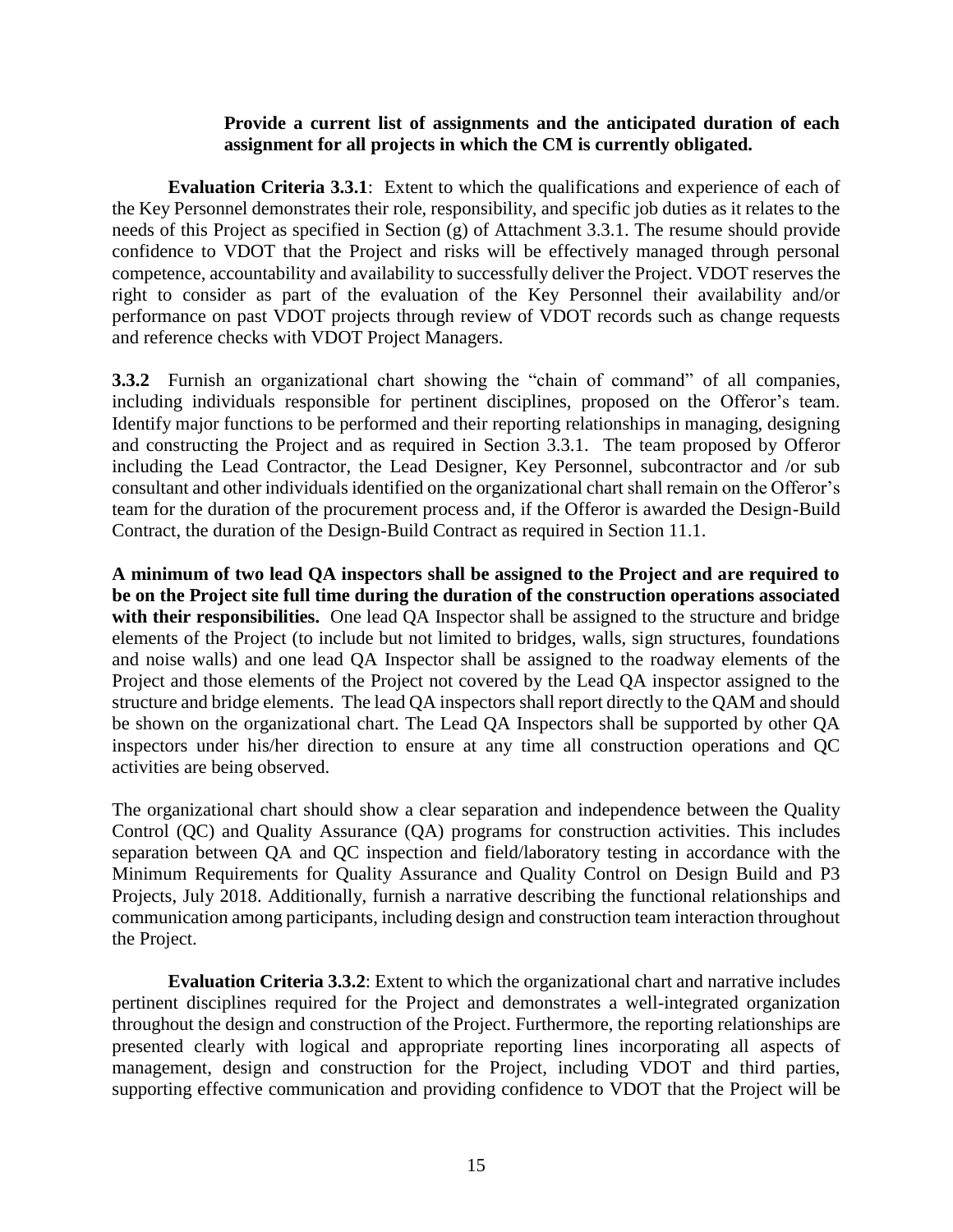#### **Provide a current list of assignments and the anticipated duration of each assignment for all projects in which the CM is currently obligated.**

**Evaluation Criteria 3.3.1**: Extent to which the qualifications and experience of each of the Key Personnel demonstrates their role, responsibility, and specific job duties as it relates to the needs of this Project as specified in Section (g) of Attachment 3.3.1. The resume should provide confidence to VDOT that the Project and risks will be effectively managed through personal competence, accountability and availability to successfully deliver the Project. VDOT reserves the right to consider as part of the evaluation of the Key Personnel their availability and/or performance on past VDOT projects through review of VDOT records such as change requests and reference checks with VDOT Project Managers.

**3.3.2** Furnish an organizational chart showing the "chain of command" of all companies, including individuals responsible for pertinent disciplines, proposed on the Offeror's team. Identify major functions to be performed and their reporting relationships in managing, designing and constructing the Project and as required in Section 3.3.1. The team proposed by Offeror including the Lead Contractor, the Lead Designer, Key Personnel, subcontractor and /or sub consultant and other individuals identified on the organizational chart shall remain on the Offeror's team for the duration of the procurement process and, if the Offeror is awarded the Design-Build Contract, the duration of the Design-Build Contract as required in Section 11.1.

**A minimum of two lead QA inspectors shall be assigned to the Project and are required to be on the Project site full time during the duration of the construction operations associated**  with their responsibilities. One lead QA Inspector shall be assigned to the structure and bridge elements of the Project (to include but not limited to bridges, walls, sign structures, foundations and noise walls) and one lead QA Inspector shall be assigned to the roadway elements of the Project and those elements of the Project not covered by the Lead QA inspector assigned to the structure and bridge elements. The lead QA inspectors shall report directly to the QAM and should be shown on the organizational chart. The Lead QA Inspectors shall be supported by other QA inspectors under his/her direction to ensure at any time all construction operations and QC activities are being observed.

The organizational chart should show a clear separation and independence between the Quality Control (QC) and Quality Assurance (QA) programs for construction activities. This includes separation between QA and QC inspection and field/laboratory testing in accordance with the [Minimum Requirements for Quality Assurance and Quality Control on Design Build and P3](http://www.vdot.virginia.gov/business/resources/PPTA/Minimum_Requirements_for_QA-QC_-_January_2012.pdf)  [Projects, July](http://www.vdot.virginia.gov/business/resources/PPTA/Minimum_Requirements_for_QA-QC_-_January_2012.pdf) 2018. Additionally, furnish a narrative describing the functional relationships and communication among participants, including design and construction team interaction throughout the Project.

**Evaluation Criteria 3.3.2**: Extent to which the organizational chart and narrative includes pertinent disciplines required for the Project and demonstrates a well-integrated organization throughout the design and construction of the Project. Furthermore, the reporting relationships are presented clearly with logical and appropriate reporting lines incorporating all aspects of management, design and construction for the Project, including VDOT and third parties, supporting effective communication and providing confidence to VDOT that the Project will be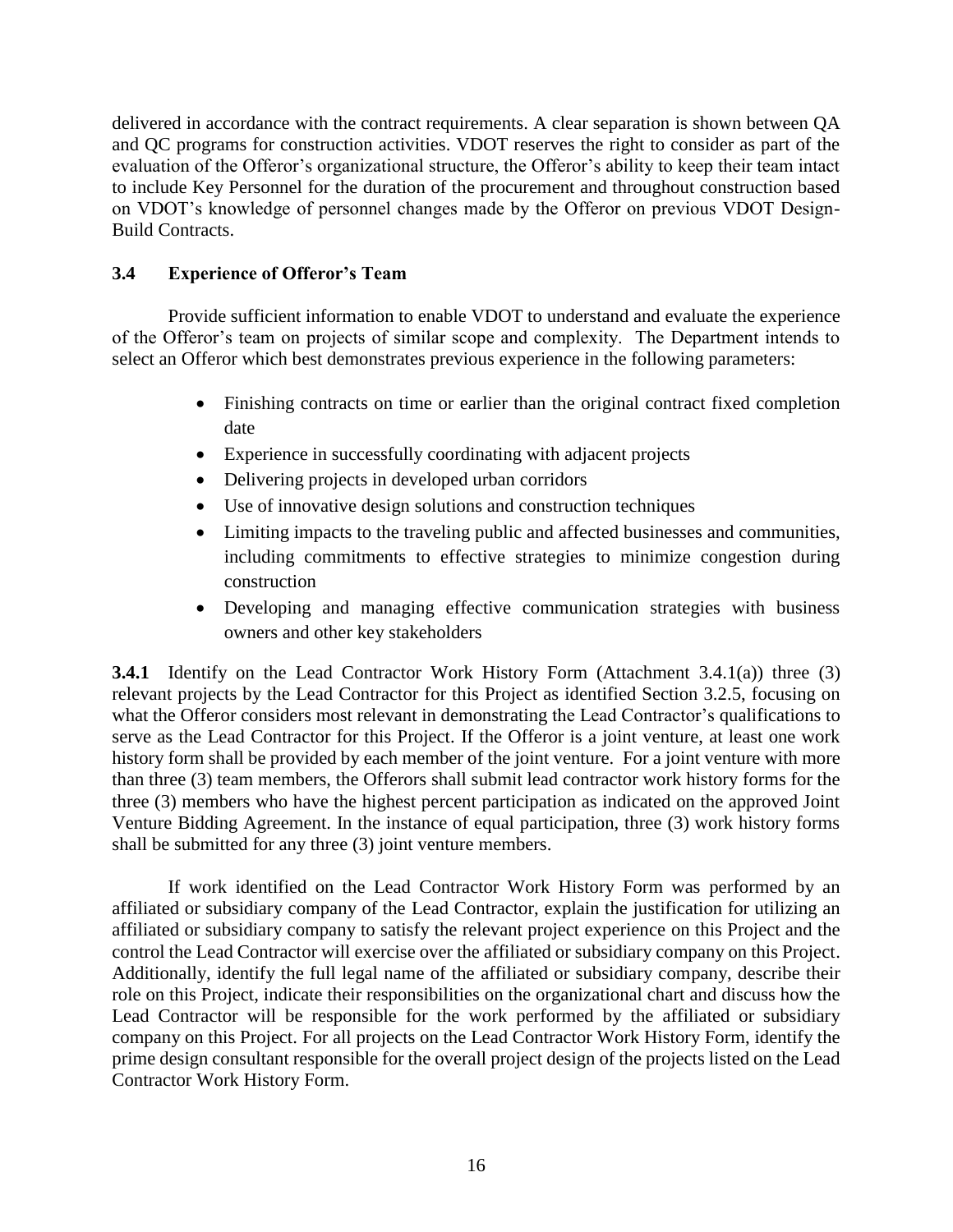delivered in accordance with the contract requirements. A clear separation is shown between QA and QC programs for construction activities. VDOT reserves the right to consider as part of the evaluation of the Offeror's organizational structure, the Offeror's ability to keep their team intact to include Key Personnel for the duration of the procurement and throughout construction based on VDOT's knowledge of personnel changes made by the Offeror on previous VDOT Design-Build Contracts.

# <span id="page-15-0"></span>**3.4 Experience of Offeror's Team**

Provide sufficient information to enable VDOT to understand and evaluate the experience of the Offeror's team on projects of similar scope and complexity. The Department intends to select an Offeror which best demonstrates previous experience in the following parameters:

- Finishing contracts on time or earlier than the original contract fixed completion date
- Experience in successfully coordinating with adjacent projects
- Delivering projects in developed urban corridors
- Use of innovative design solutions and construction techniques
- Limiting impacts to the traveling public and affected businesses and communities, including commitments to effective strategies to minimize congestion during construction
- Developing and managing effective communication strategies with business owners and other key stakeholders

**3.4.1** Identify on the Lead Contractor Work History Form (Attachment 3.4.1(a)) three (3) relevant projects by the Lead Contractor for this Project as identified Section 3.2.5, focusing on what the Offeror considers most relevant in demonstrating the Lead Contractor's qualifications to serve as the Lead Contractor for this Project. If the Offeror is a joint venture, at least one work history form shall be provided by each member of the joint venture. For a joint venture with more than three (3) team members, the Offerors shall submit lead contractor work history forms for the three (3) members who have the highest percent participation as indicated on the approved Joint Venture Bidding Agreement. In the instance of equal participation, three (3) work history forms shall be submitted for any three (3) joint venture members.

If work identified on the Lead Contractor Work History Form was performed by an affiliated or subsidiary company of the Lead Contractor, explain the justification for utilizing an affiliated or subsidiary company to satisfy the relevant project experience on this Project and the control the Lead Contractor will exercise over the affiliated or subsidiary company on this Project. Additionally, identify the full legal name of the affiliated or subsidiary company, describe their role on this Project, indicate their responsibilities on the organizational chart and discuss how the Lead Contractor will be responsible for the work performed by the affiliated or subsidiary company on this Project. For all projects on the Lead Contractor Work History Form, identify the prime design consultant responsible for the overall project design of the projects listed on the Lead Contractor Work History Form.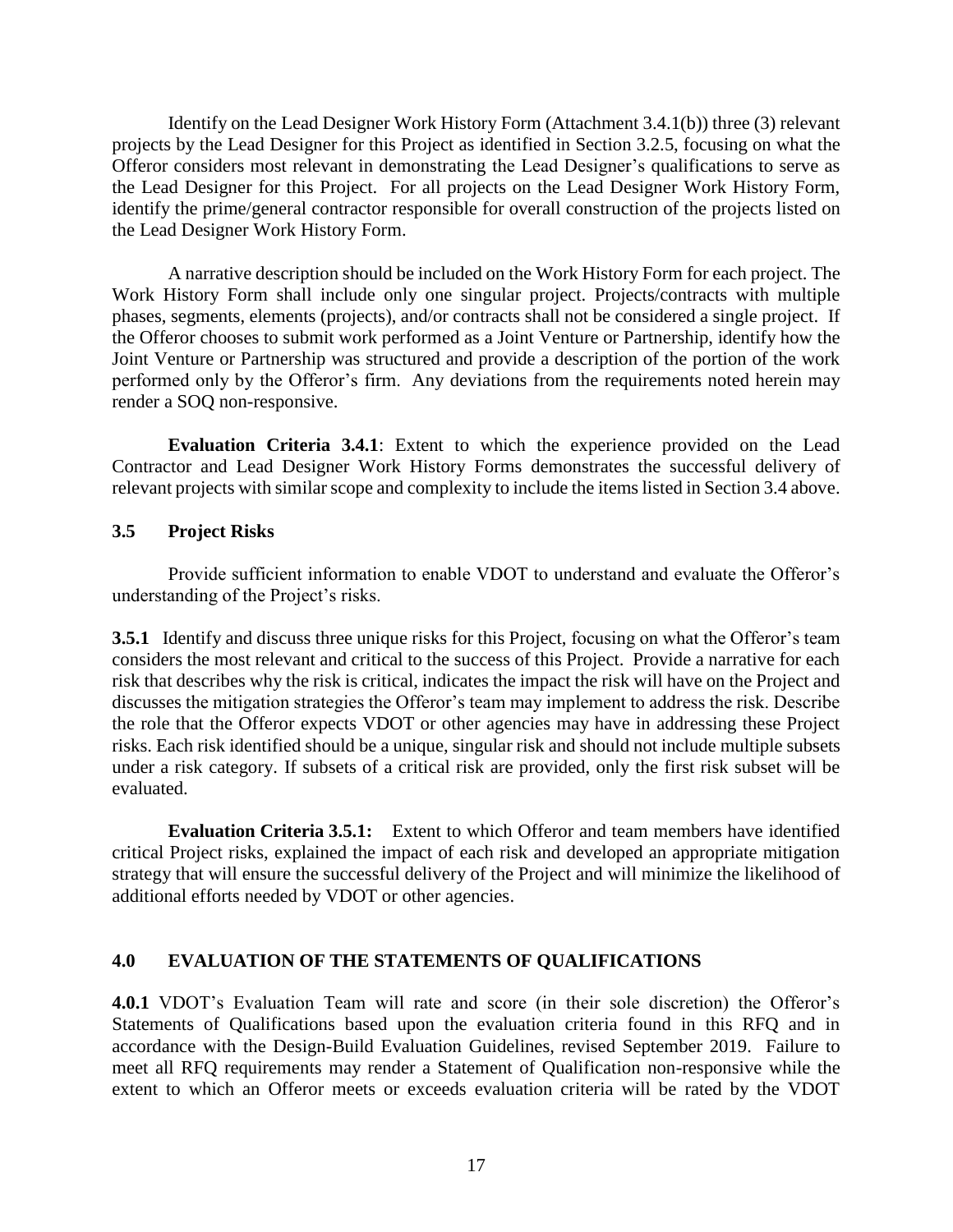Identify on the Lead Designer Work History Form (Attachment 3.4.1(b)) three (3) relevant projects by the Lead Designer for this Project as identified in Section 3.2.5, focusing on what the Offeror considers most relevant in demonstrating the Lead Designer's qualifications to serve as the Lead Designer for this Project. For all projects on the Lead Designer Work History Form, identify the prime/general contractor responsible for overall construction of the projects listed on the Lead Designer Work History Form.

A narrative description should be included on the Work History Form for each project. The Work History Form shall include only one singular project. Projects/contracts with multiple phases, segments, elements (projects), and/or contracts shall not be considered a single project. If the Offeror chooses to submit work performed as a Joint Venture or Partnership, identify how the Joint Venture or Partnership was structured and provide a description of the portion of the work performed only by the Offeror's firm. Any deviations from the requirements noted herein may render a SOQ non-responsive.

**Evaluation Criteria 3.4.1**: Extent to which the experience provided on the Lead Contractor and Lead Designer Work History Forms demonstrates the successful delivery of relevant projects with similar scope and complexity to include the items listed in Section 3.4 above.

## <span id="page-16-0"></span>**3.5 Project Risks**

Provide sufficient information to enable VDOT to understand and evaluate the Offeror's understanding of the Project's risks.

**3.5.1** Identify and discuss three unique risks for this Project, focusing on what the Offeror's team considers the most relevant and critical to the success of this Project. Provide a narrative for each risk that describes why the risk is critical, indicates the impact the risk will have on the Project and discusses the mitigation strategies the Offeror's team may implement to address the risk. Describe the role that the Offeror expects VDOT or other agencies may have in addressing these Project risks. Each risk identified should be a unique, singular risk and should not include multiple subsets under a risk category. If subsets of a critical risk are provided, only the first risk subset will be evaluated.

**Evaluation Criteria 3.5.1:** Extent to which Offeror and team members have identified critical Project risks, explained the impact of each risk and developed an appropriate mitigation strategy that will ensure the successful delivery of the Project and will minimize the likelihood of additional efforts needed by VDOT or other agencies.

#### <span id="page-16-1"></span>**4.0 EVALUATION OF THE STATEMENTS OF QUALIFICATIONS**

**4.0.1** VDOT's Evaluation Team will rate and score (in their sole discretion) the Offeror's Statements of Qualifications based upon the evaluation criteria found in this RFQ and in accordance with the Design-Build Evaluation Guidelines, revised September 2019. Failure to meet all RFQ requirements may render a Statement of Qualification non-responsive while the extent to which an Offeror meets or exceeds evaluation criteria will be rated by the VDOT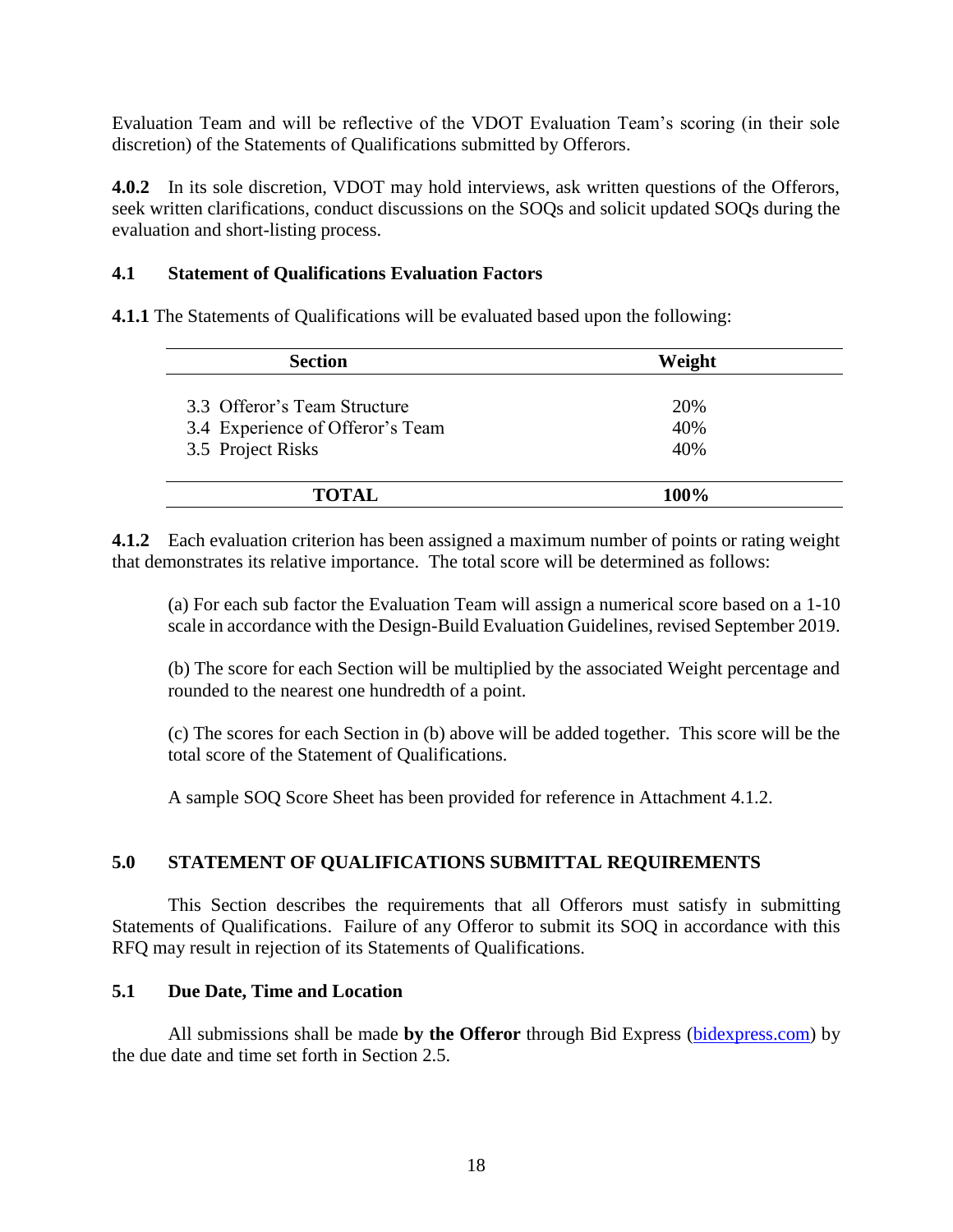Evaluation Team and will be reflective of the VDOT Evaluation Team's scoring (in their sole discretion) of the Statements of Qualifications submitted by Offerors.

**4.0.2** In its sole discretion, VDOT may hold interviews, ask written questions of the Offerors, seek written clarifications, conduct discussions on the SOQs and solicit updated SOQs during the evaluation and short-listing process.

## <span id="page-17-0"></span>**4.1 Statement of Qualifications Evaluation Factors**

**4.1.1** The Statements of Qualifications will be evaluated based upon the following:

| <b>Section</b>                   | Weight |  |
|----------------------------------|--------|--|
| 3.3 Offeror's Team Structure     | 20%    |  |
| 3.4 Experience of Offeror's Team | 40%    |  |
| 3.5 Project Risks                | 40%    |  |
|                                  |        |  |
| TOTAL                            | 100%   |  |

**4.1.2** Each evaluation criterion has been assigned a maximum number of points or rating weight that demonstrates its relative importance. The total score will be determined as follows:

(a) For each sub factor the Evaluation Team will assign a numerical score based on a 1-10 scale in accordance with the Design-Build Evaluation Guidelines, revised September 2019.

(b) The score for each Section will be multiplied by the associated Weight percentage and rounded to the nearest one hundredth of a point.

(c) The scores for each Section in (b) above will be added together. This score will be the total score of the Statement of Qualifications.

A sample SOQ Score Sheet has been provided for reference in Attachment 4.1.2.

#### <span id="page-17-1"></span>**5.0 STATEMENT OF QUALIFICATIONS SUBMITTAL REQUIREMENTS**

This Section describes the requirements that all Offerors must satisfy in submitting Statements of Qualifications. Failure of any Offeror to submit its SOQ in accordance with this RFQ may result in rejection of its Statements of Qualifications.

#### <span id="page-17-2"></span>**5.1 Due Date, Time and Location**

All submissions shall be made **by the Offeror** through Bid Express [\(bidexpress.com\)](https://www.bidexpress.com/login?return_to=%2F) by the due date and time set forth in Section 2.5.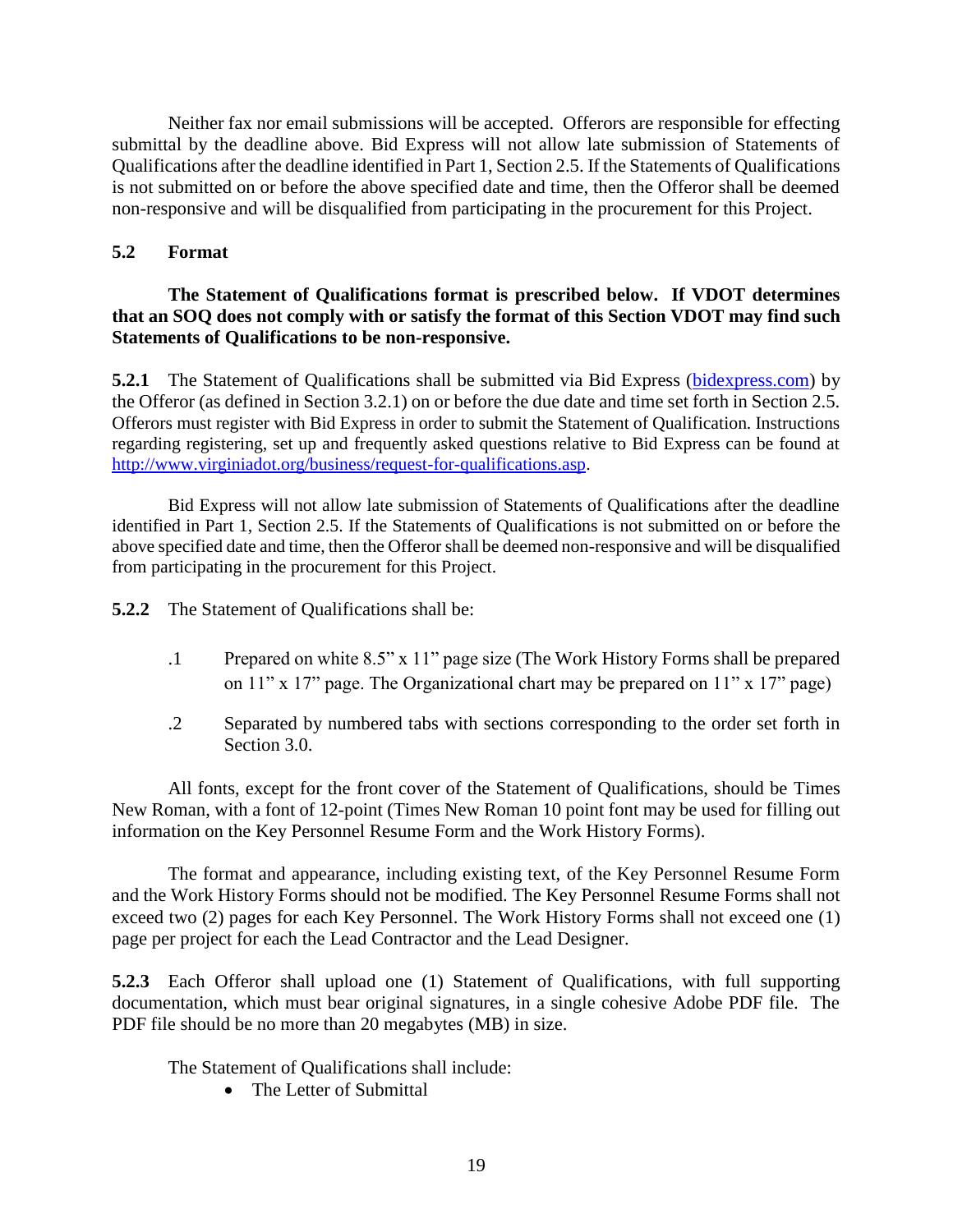Neither fax nor email submissions will be accepted. Offerors are responsible for effecting submittal by the deadline above. Bid Express will not allow late submission of Statements of Qualifications after the deadline identified in Part 1, Section 2.5. If the Statements of Qualifications is not submitted on or before the above specified date and time, then the Offeror shall be deemed non-responsive and will be disqualified from participating in the procurement for this Project.

# <span id="page-18-0"></span>**5.2 Format**

# **The Statement of Qualifications format is prescribed below. If VDOT determines that an SOQ does not comply with or satisfy the format of this Section VDOT may find such Statements of Qualifications to be non-responsive.**

**5.2.1** The Statement of Qualifications shall be submitted via Bid Express [\(bidexpress.com\)](https://www.bidexpress.com/login?return_to=%2F) by the Offeror (as defined in Section 3.2.1) on or before the due date and time set forth in Section 2.5. Offerors must register with Bid Express in order to submit the Statement of Qualification. Instructions regarding registering, set up and frequently asked questions relative to Bid Express can be found at [http://www.virginiadot.org/business/request-for-qualifications.asp.](http://www.virginiadot.org/business/request-for-qualifications.asp)

Bid Express will not allow late submission of Statements of Qualifications after the deadline identified in Part 1, Section 2.5. If the Statements of Qualifications is not submitted on or before the above specified date and time, then the Offeror shall be deemed non-responsive and will be disqualified from participating in the procurement for this Project.

**5.2.2** The Statement of Qualifications shall be:

- .1 Prepared on white 8.5" x 11" page size (The Work History Forms shall be prepared on 11" x 17" page. The Organizational chart may be prepared on 11" x 17" page)
- .2 Separated by numbered tabs with sections corresponding to the order set forth in Section 3.0.

All fonts, except for the front cover of the Statement of Qualifications, should be Times New Roman, with a font of 12-point (Times New Roman 10 point font may be used for filling out information on the Key Personnel Resume Form and the Work History Forms).

The format and appearance, including existing text, of the Key Personnel Resume Form and the Work History Forms should not be modified. The Key Personnel Resume Forms shall not exceed two (2) pages for each Key Personnel. The Work History Forms shall not exceed one (1) page per project for each the Lead Contractor and the Lead Designer.

**5.2.3** Each Offeror shall upload one (1) Statement of Qualifications, with full supporting documentation, which must bear original signatures, in a single cohesive Adobe PDF file. The PDF file should be no more than 20 megabytes (MB) in size.

The Statement of Qualifications shall include:

• The Letter of Submittal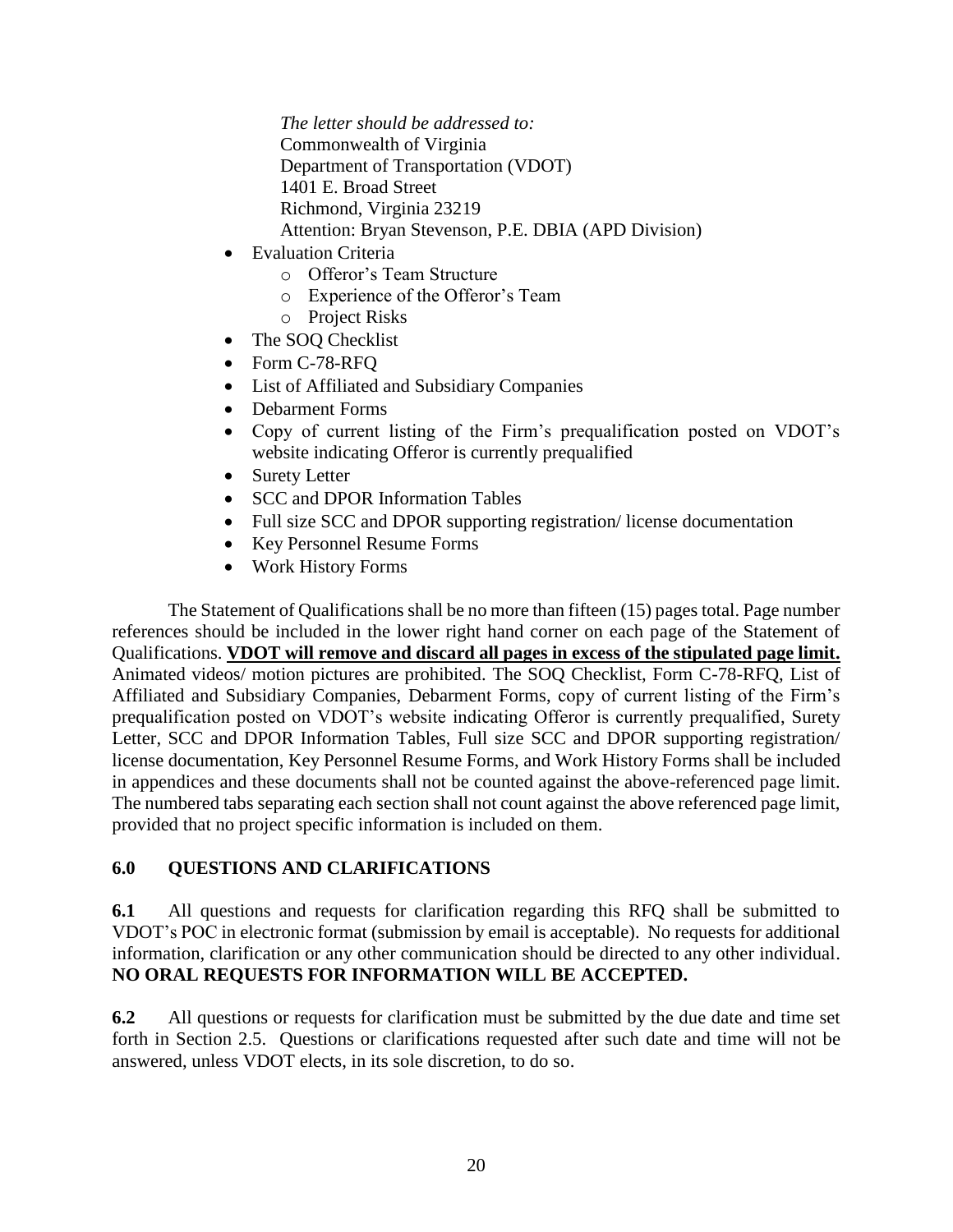*The letter should be addressed to:* Commonwealth of Virginia Department of Transportation (VDOT) 1401 E. Broad Street Richmond, Virginia 23219 Attention: Bryan Stevenson, P.E. DBIA (APD Division)

- Evaluation Criteria
	- o Offeror's Team Structure
	- o Experience of the Offeror's Team
	- o Project Risks
- The SOQ Checklist
- Form C-78-RFQ
- List of Affiliated and Subsidiary Companies
- Debarment Forms
- Copy of current listing of the Firm's prequalification posted on VDOT's website indicating Offeror is currently prequalified
- Surety Letter
- SCC and DPOR Information Tables
- Full size SCC and DPOR supporting registration/license documentation
- Key Personnel Resume Forms
- Work History Forms

The Statement of Qualifications shall be no more than fifteen (15) pages total. Page number references should be included in the lower right hand corner on each page of the Statement of Qualifications. **VDOT will remove and discard all pages in excess of the stipulated page limit.** Animated videos/ motion pictures are prohibited. The SOQ Checklist, Form C-78-RFQ, List of Affiliated and Subsidiary Companies, Debarment Forms, copy of current listing of the Firm's prequalification posted on VDOT's website indicating Offeror is currently prequalified, Surety Letter, SCC and DPOR Information Tables, Full size SCC and DPOR supporting registration/ license documentation, Key Personnel Resume Forms, and Work History Forms shall be included in appendices and these documents shall not be counted against the above-referenced page limit. The numbered tabs separating each section shall not count against the above referenced page limit, provided that no project specific information is included on them.

# <span id="page-19-0"></span>**6.0 QUESTIONS AND CLARIFICATIONS**

**6.1** All questions and requests for clarification regarding this RFQ shall be submitted to VDOT's POC in electronic format (submission by email is acceptable). No requests for additional information, clarification or any other communication should be directed to any other individual. **NO ORAL REQUESTS FOR INFORMATION WILL BE ACCEPTED.**

**6.2** All questions or requests for clarification must be submitted by the due date and time set forth in Section 2.5. Questions or clarifications requested after such date and time will not be answered, unless VDOT elects, in its sole discretion, to do so.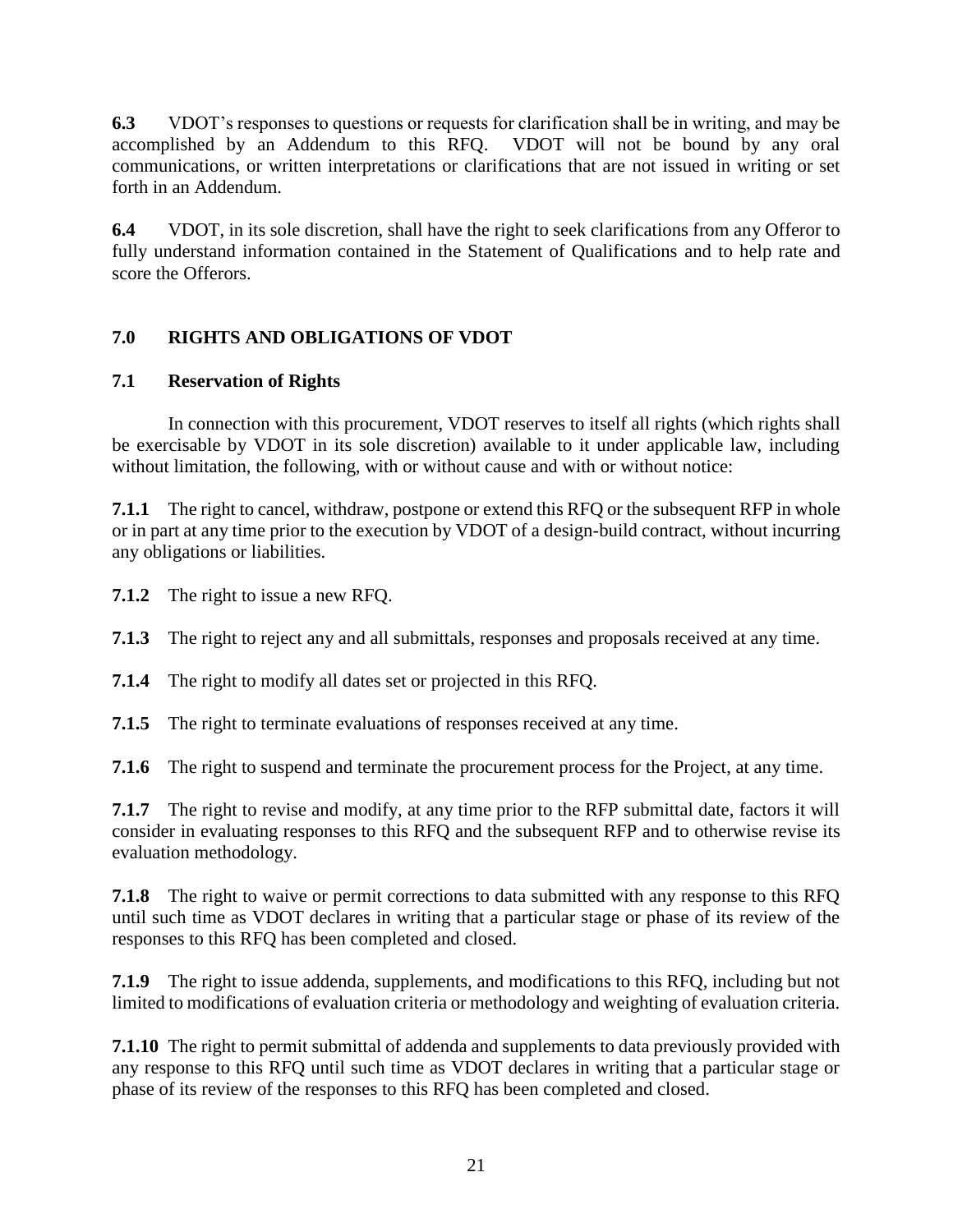**6.3** VDOT's responses to questions or requests for clarification shall be in writing, and may be accomplished by an Addendum to this RFQ. VDOT will not be bound by any oral communications, or written interpretations or clarifications that are not issued in writing or set forth in an Addendum.

**6.4** VDOT, in its sole discretion, shall have the right to seek clarifications from any Offeror to fully understand information contained in the Statement of Qualifications and to help rate and score the Offerors.

# <span id="page-20-0"></span>**7.0 RIGHTS AND OBLIGATIONS OF VDOT**

# <span id="page-20-1"></span>**7.1 Reservation of Rights**

In connection with this procurement, VDOT reserves to itself all rights (which rights shall be exercisable by VDOT in its sole discretion) available to it under applicable law, including without limitation, the following, with or without cause and with or without notice:

**7.1.1** The right to cancel, withdraw, postpone or extend this RFQ or the subsequent RFP in whole or in part at any time prior to the execution by VDOT of a design-build contract, without incurring any obligations or liabilities.

**7.1.2** The right to issue a new RFQ.

**7.1.3** The right to reject any and all submittals, responses and proposals received at any time.

**7.1.4** The right to modify all dates set or projected in this RFQ.

**7.1.5** The right to terminate evaluations of responses received at any time.

**7.1.6** The right to suspend and terminate the procurement process for the Project, at any time.

**7.1.7** The right to revise and modify, at any time prior to the RFP submittal date, factors it will consider in evaluating responses to this RFQ and the subsequent RFP and to otherwise revise its evaluation methodology.

**7.1.8** The right to waive or permit corrections to data submitted with any response to this RFQ until such time as VDOT declares in writing that a particular stage or phase of its review of the responses to this RFQ has been completed and closed.

**7.1.9** The right to issue addenda, supplements, and modifications to this RFQ, including but not limited to modifications of evaluation criteria or methodology and weighting of evaluation criteria.

**7.1.10** The right to permit submittal of addenda and supplements to data previously provided with any response to this RFQ until such time as VDOT declares in writing that a particular stage or phase of its review of the responses to this RFQ has been completed and closed.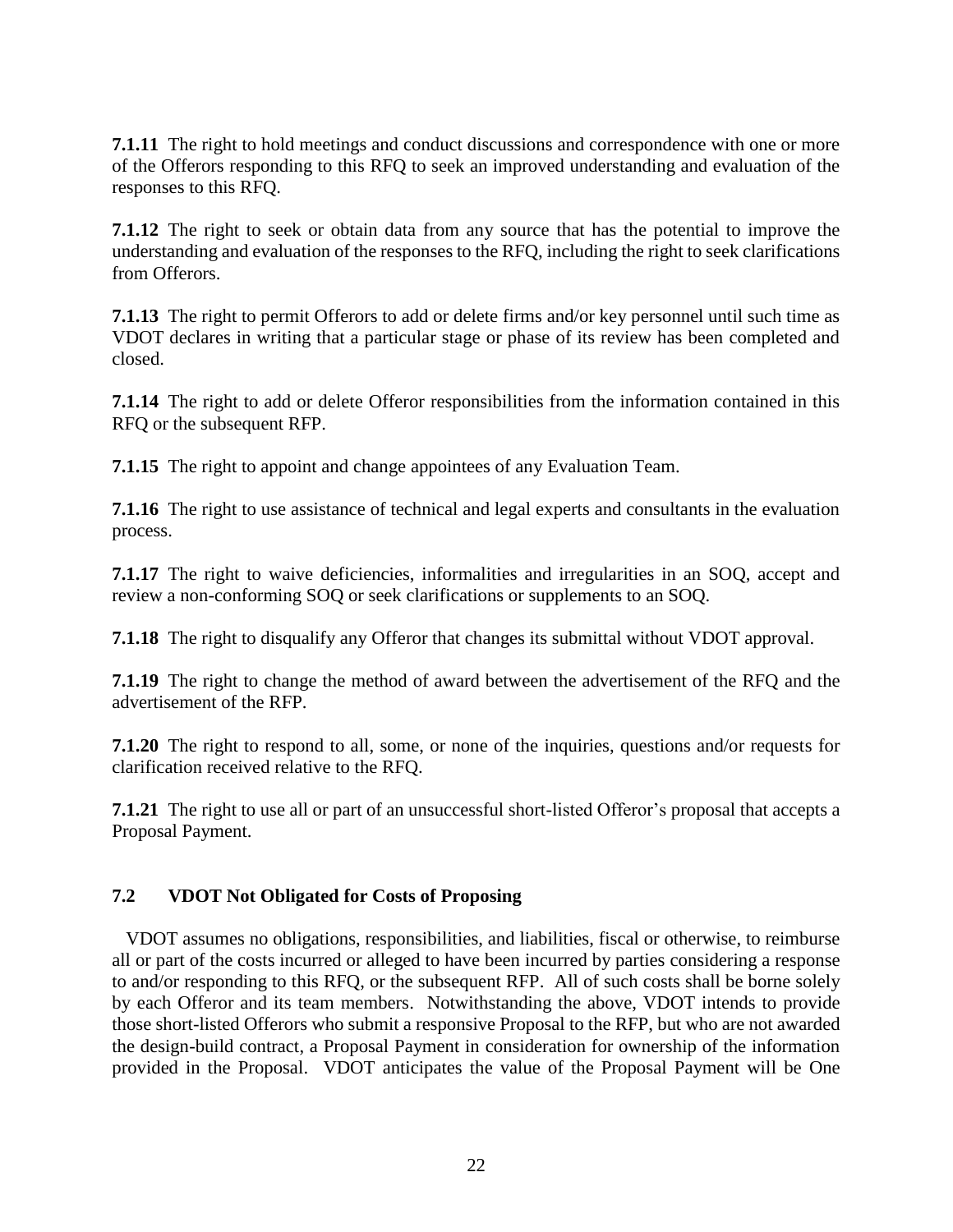**7.1.11** The right to hold meetings and conduct discussions and correspondence with one or more of the Offerors responding to this RFQ to seek an improved understanding and evaluation of the responses to this RFQ.

**7.1.12** The right to seek or obtain data from any source that has the potential to improve the understanding and evaluation of the responses to the RFQ, including the right to seek clarifications from Offerors.

**7.1.13** The right to permit Offerors to add or delete firms and/or key personnel until such time as VDOT declares in writing that a particular stage or phase of its review has been completed and closed.

**7.1.14** The right to add or delete Offeror responsibilities from the information contained in this RFQ or the subsequent RFP.

**7.1.15** The right to appoint and change appointees of any Evaluation Team.

**7.1.16** The right to use assistance of technical and legal experts and consultants in the evaluation process.

**7.1.17** The right to waive deficiencies, informalities and irregularities in an SOQ, accept and review a non-conforming SOQ or seek clarifications or supplements to an SOQ.

**7.1.18** The right to disqualify any Offeror that changes its submittal without VDOT approval.

**7.1.19** The right to change the method of award between the advertisement of the RFQ and the advertisement of the RFP.

**7.1.20** The right to respond to all, some, or none of the inquiries, questions and/or requests for clarification received relative to the RFQ.

**7.1.21** The right to use all or part of an unsuccessful short-listed Offeror's proposal that accepts a Proposal Payment.

# <span id="page-21-0"></span>**7.2 VDOT Not Obligated for Costs of Proposing**

 VDOT assumes no obligations, responsibilities, and liabilities, fiscal or otherwise, to reimburse all or part of the costs incurred or alleged to have been incurred by parties considering a response to and/or responding to this RFQ, or the subsequent RFP. All of such costs shall be borne solely by each Offeror and its team members. Notwithstanding the above, VDOT intends to provide those short-listed Offerors who submit a responsive Proposal to the RFP, but who are not awarded the design-build contract, a Proposal Payment in consideration for ownership of the information provided in the Proposal. VDOT anticipates the value of the Proposal Payment will be One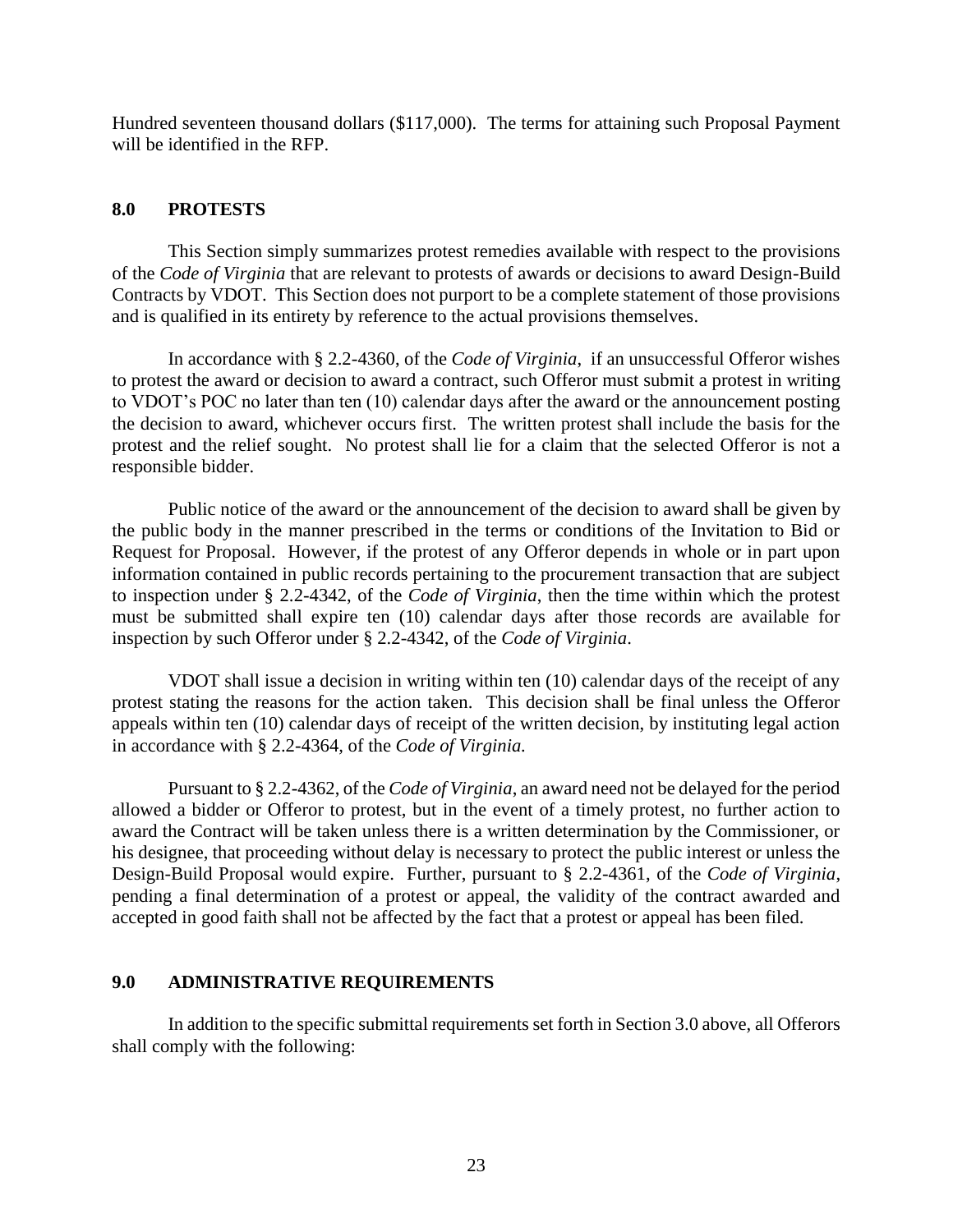Hundred seventeen thousand dollars (\$117,000). The terms for attaining such Proposal Payment will be identified in the RFP.

#### <span id="page-22-0"></span>**8.0 PROTESTS**

This Section simply summarizes protest remedies available with respect to the provisions of the *Code of Virginia* that are relevant to protests of awards or decisions to award Design-Build Contracts by VDOT. This Section does not purport to be a complete statement of those provisions and is qualified in its entirety by reference to the actual provisions themselves.

In accordance with § 2.2-4360, of the *Code of Virginia*, if an unsuccessful Offeror wishes to protest the award or decision to award a contract, such Offeror must submit a protest in writing to VDOT's POC no later than ten (10) calendar days after the award or the announcement posting the decision to award, whichever occurs first. The written protest shall include the basis for the protest and the relief sought. No protest shall lie for a claim that the selected Offeror is not a responsible bidder.

Public notice of the award or the announcement of the decision to award shall be given by the public body in the manner prescribed in the terms or conditions of the Invitation to Bid or Request for Proposal. However, if the protest of any Offeror depends in whole or in part upon information contained in public records pertaining to the procurement transaction that are subject to inspection under § 2.2-4342, of the *Code of Virginia*, then the time within which the protest must be submitted shall expire ten (10) calendar days after those records are available for inspection by such Offeror under § 2.2-4342, of the *Code of Virginia*.

VDOT shall issue a decision in writing within ten (10) calendar days of the receipt of any protest stating the reasons for the action taken. This decision shall be final unless the Offeror appeals within ten (10) calendar days of receipt of the written decision, by instituting legal action in accordance with § 2.2-4364*,* of the *Code of Virginia.* 

Pursuant to § 2.2-4362, of the *Code of Virginia*, an award need not be delayed for the period allowed a bidder or Offeror to protest, but in the event of a timely protest, no further action to award the Contract will be taken unless there is a written determination by the Commissioner, or his designee, that proceeding without delay is necessary to protect the public interest or unless the Design-Build Proposal would expire. Further, pursuant to § 2.2-4361, of the *Code of Virginia*, pending a final determination of a protest or appeal, the validity of the contract awarded and accepted in good faith shall not be affected by the fact that a protest or appeal has been filed.

#### <span id="page-22-1"></span>**9.0 ADMINISTRATIVE REQUIREMENTS**

In addition to the specific submittal requirements set forth in Section 3.0 above, all Offerors shall comply with the following: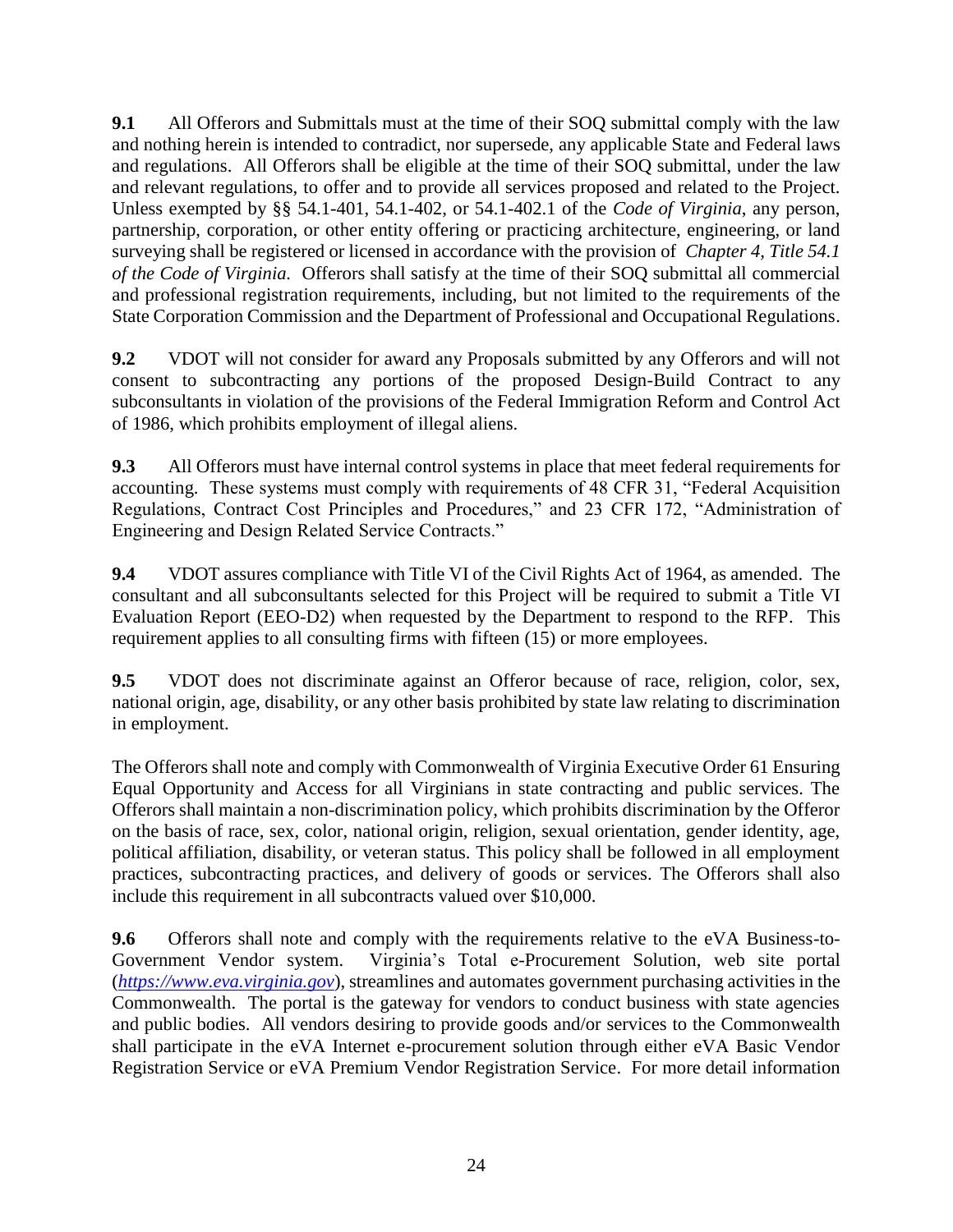**9.1** All Offerors and Submittals must at the time of their SOQ submittal comply with the law and nothing herein is intended to contradict, nor supersede, any applicable State and Federal laws and regulations. All Offerors shall be eligible at the time of their SOQ submittal, under the law and relevant regulations, to offer and to provide all services proposed and related to the Project. Unless exempted by §§ 54.1-401, 54.1-402, or 54.1-402.1 of the *Code of Virginia*, any person, partnership, corporation, or other entity offering or practicing architecture, engineering, or land surveying shall be registered or licensed in accordance with the provision of *Chapter 4, Title 54.1 of the Code of Virginia.* Offerors shall satisfy at the time of their SOQ submittal all commercial and professional registration requirements, including, but not limited to the requirements of the State Corporation Commission and the Department of Professional and Occupational Regulations.

**9.2** VDOT will not consider for award any Proposals submitted by any Offerors and will not consent to subcontracting any portions of the proposed Design-Build Contract to any subconsultants in violation of the provisions of the Federal Immigration Reform and Control Act of 1986, which prohibits employment of illegal aliens.

**9.3** All Offerors must have internal control systems in place that meet federal requirements for accounting. These systems must comply with requirements of 48 CFR 31, "Federal Acquisition Regulations, Contract Cost Principles and Procedures," and 23 CFR 172, "Administration of Engineering and Design Related Service Contracts."

**9.4** VDOT assures compliance with Title VI of the Civil Rights Act of 1964, as amended. The consultant and all subconsultants selected for this Project will be required to submit a Title VI Evaluation Report (EEO-D2) when requested by the Department to respond to the RFP. This requirement applies to all consulting firms with fifteen (15) or more employees.

**9.5** VDOT does not discriminate against an Offeror because of race, religion, color, sex, national origin, age, disability, or any other basis prohibited by state law relating to discrimination in employment.

The Offerors shall note and comply with Commonwealth of Virginia Executive Order 61 Ensuring Equal Opportunity and Access for all Virginians in state contracting and public services. The Offerors shall maintain a non-discrimination policy, which prohibits discrimination by the Offeror on the basis of race, sex, color, national origin, religion, sexual orientation, gender identity, age, political affiliation, disability, or veteran status. This policy shall be followed in all employment practices, subcontracting practices, and delivery of goods or services. The Offerors shall also include this requirement in all subcontracts valued over \$10,000.

**9.6** Offerors shall note and comply with the requirements relative to the eVA Business-to-Government Vendor system. Virginia's Total e-Procurement Solution, web site portal Virginia's Total e-Procurement Solution, web site portal (*[https://www.eva.virginia.gov](https://www.eva.virginia.gov/)*), streamlines and automates government purchasing activities in the Commonwealth. The portal is the gateway for vendors to conduct business with state agencies and public bodies. All vendors desiring to provide goods and/or services to the Commonwealth shall participate in the eVA Internet e-procurement solution through either eVA Basic Vendor Registration Service or eVA Premium Vendor Registration Service. For more detail information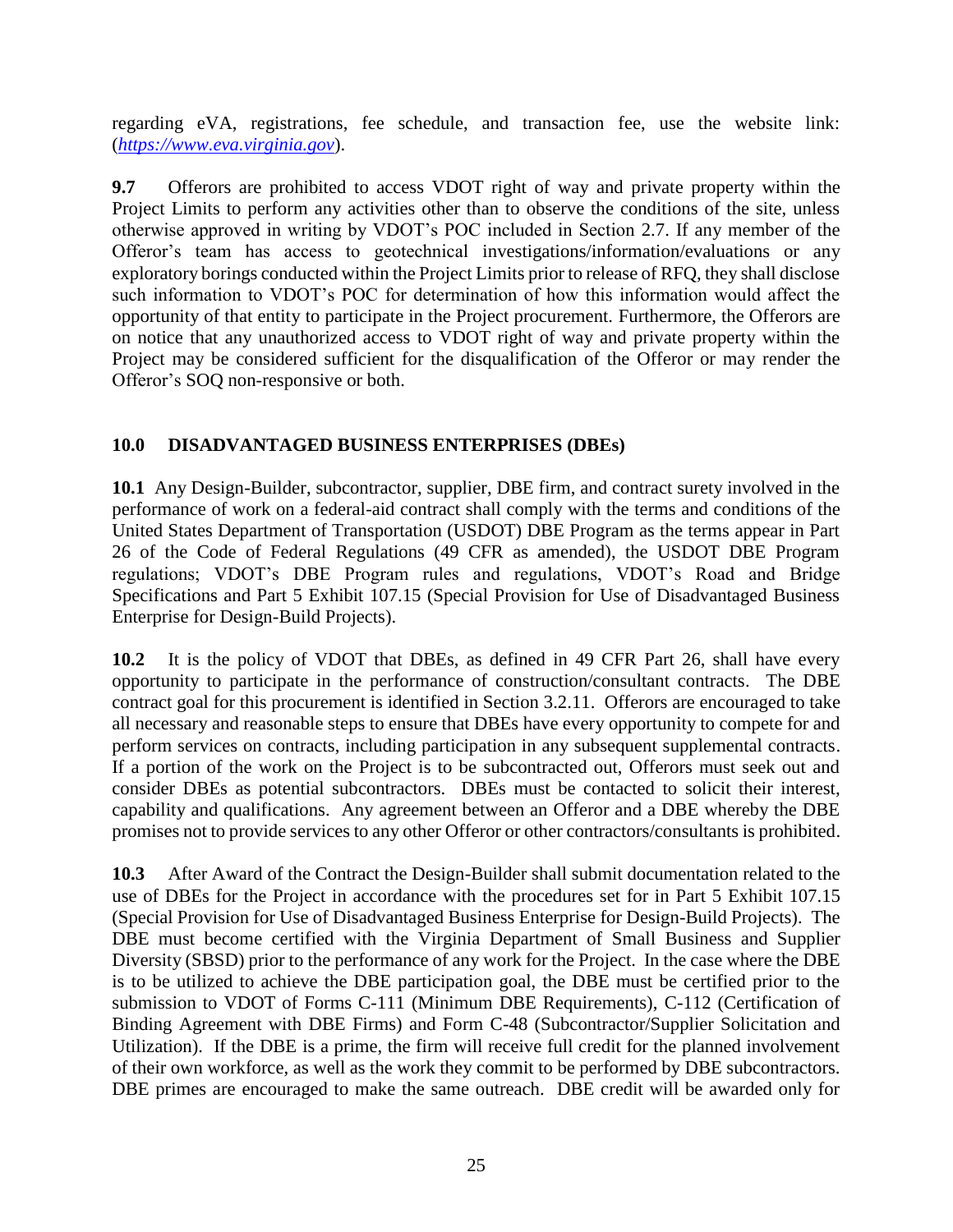regarding eVA, registrations, fee schedule, and transaction fee, use the website link: (*[https://www.eva.virginia.gov](https://www.eva.virginia.gov/)*).

**9.7** Offerors are prohibited to access VDOT right of way and private property within the Project Limits to perform any activities other than to observe the conditions of the site, unless otherwise approved in writing by VDOT's POC included in Section 2.7. If any member of the Offeror's team has access to geotechnical investigations/information/evaluations or any exploratory borings conducted within the Project Limits prior to release of RFQ, they shall disclose such information to VDOT's POC for determination of how this information would affect the opportunity of that entity to participate in the Project procurement. Furthermore, the Offerors are on notice that any unauthorized access to VDOT right of way and private property within the Project may be considered sufficient for the disqualification of the Offeror or may render the Offeror's SOQ non-responsive or both.

# <span id="page-24-0"></span>**10.0 DISADVANTAGED BUSINESS ENTERPRISES (DBEs)**

**10.1** Any Design-Builder, subcontractor, supplier, DBE firm, and contract surety involved in the performance of work on a federal-aid contract shall comply with the terms and conditions of the United States Department of Transportation (USDOT) DBE Program as the terms appear in Part 26 of the Code of Federal Regulations (49 CFR as amended), the USDOT DBE Program regulations; VDOT's DBE Program rules and regulations, VDOT's Road and Bridge Specifications and Part 5 Exhibit 107.15 (Special Provision for Use of Disadvantaged Business Enterprise for Design-Build Projects).

**10.2** It is the policy of VDOT that DBEs, as defined in 49 CFR Part 26, shall have every opportunity to participate in the performance of construction/consultant contracts. The DBE contract goal for this procurement is identified in Section 3.2.11. Offerors are encouraged to take all necessary and reasonable steps to ensure that DBEs have every opportunity to compete for and perform services on contracts, including participation in any subsequent supplemental contracts. If a portion of the work on the Project is to be subcontracted out, Offerors must seek out and consider DBEs as potential subcontractors. DBEs must be contacted to solicit their interest, capability and qualifications. Any agreement between an Offeror and a DBE whereby the DBE promises not to provide services to any other Offeror or other contractors/consultants is prohibited.

**10.3** After Award of the Contract the Design-Builder shall submit documentation related to the use of DBEs for the Project in accordance with the procedures set for in Part 5 Exhibit 107.15 (Special Provision for Use of Disadvantaged Business Enterprise for Design-Build Projects). The DBE must become certified with the Virginia Department of Small Business and Supplier Diversity (SBSD) prior to the performance of any work for the Project. In the case where the DBE is to be utilized to achieve the DBE participation goal, the DBE must be certified prior to the submission to VDOT of Forms C-111 (Minimum DBE Requirements), C-112 (Certification of Binding Agreement with DBE Firms) and Form C-48 (Subcontractor/Supplier Solicitation and Utilization). If the DBE is a prime, the firm will receive full credit for the planned involvement of their own workforce, as well as the work they commit to be performed by DBE subcontractors. DBE primes are encouraged to make the same outreach. DBE credit will be awarded only for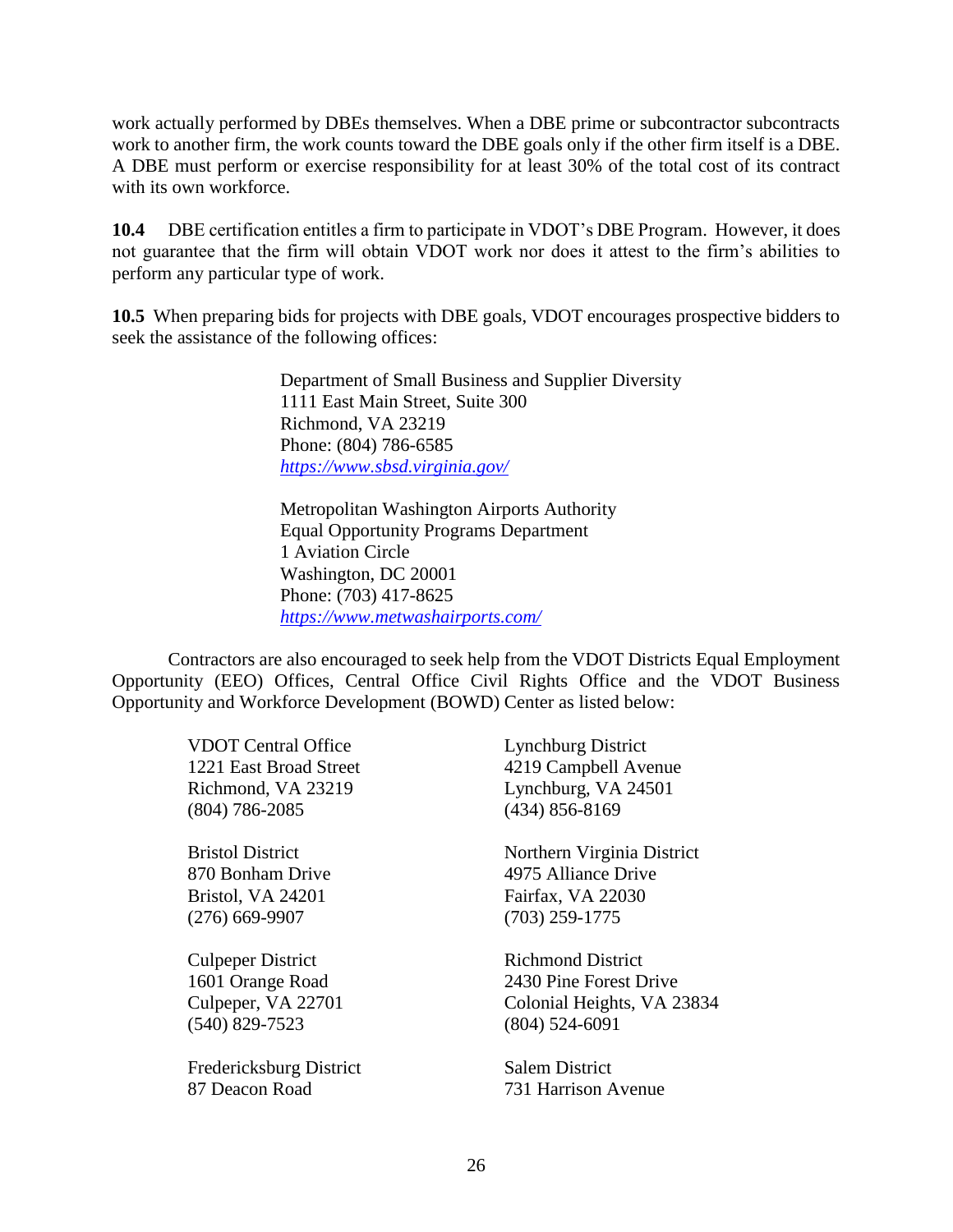work actually performed by DBEs themselves. When a DBE prime or subcontractor subcontracts work to another firm, the work counts toward the DBE goals only if the other firm itself is a DBE. A DBE must perform or exercise responsibility for at least 30% of the total cost of its contract with its own workforce.

**10.4** DBE certification entitles a firm to participate in VDOT's DBE Program. However, it does not guarantee that the firm will obtain VDOT work nor does it attest to the firm's abilities to perform any particular type of work.

**10.5** When preparing bids for projects with DBE goals, VDOT encourages prospective bidders to seek the assistance of the following offices:

> Department of Small Business and Supplier Diversity 1111 East Main Street, Suite 300 Richmond, VA 23219 Phone: (804) 786-6585 *<https://www.sbsd.virginia.gov/>*

Metropolitan Washington Airports Authority Equal Opportunity Programs Department 1 Aviation Circle Washington, DC 20001 Phone: (703) 417-8625 *<https://www.metwashairports.com/>*

Contractors are also encouraged to seek help from the VDOT Districts Equal Employment Opportunity (EEO) Offices, Central Office Civil Rights Office and the VDOT Business Opportunity and Workforce Development (BOWD) Center as listed below:

| <b>VDOT Central Office</b> | <b>Lynchburg District</b>  |
|----------------------------|----------------------------|
| 1221 East Broad Street     | 4219 Campbell Avenue       |
| Richmond, VA 23219         | Lynchburg, VA 24501        |
| $(804)$ 786-2085           | $(434) 856 - 8169$         |
| <b>Bristol District</b>    | Northern Virginia District |
| 870 Bonham Drive           | 4975 Alliance Drive        |
| Bristol, VA 24201          | Fairfax, VA 22030          |
| $(276)$ 669-9907           | $(703)$ 259-1775           |
| <b>Culpeper District</b>   | <b>Richmond District</b>   |
| 1601 Orange Road           | 2430 Pine Forest Drive     |
| Culpeper, VA 22701         | Colonial Heights, VA 23834 |
| $(540)$ 829-7523           | $(804)$ 524-6091           |
| Fredericksburg District    | <b>Salem District</b>      |
| 87 Deacon Road             | 731 Harrison Avenue        |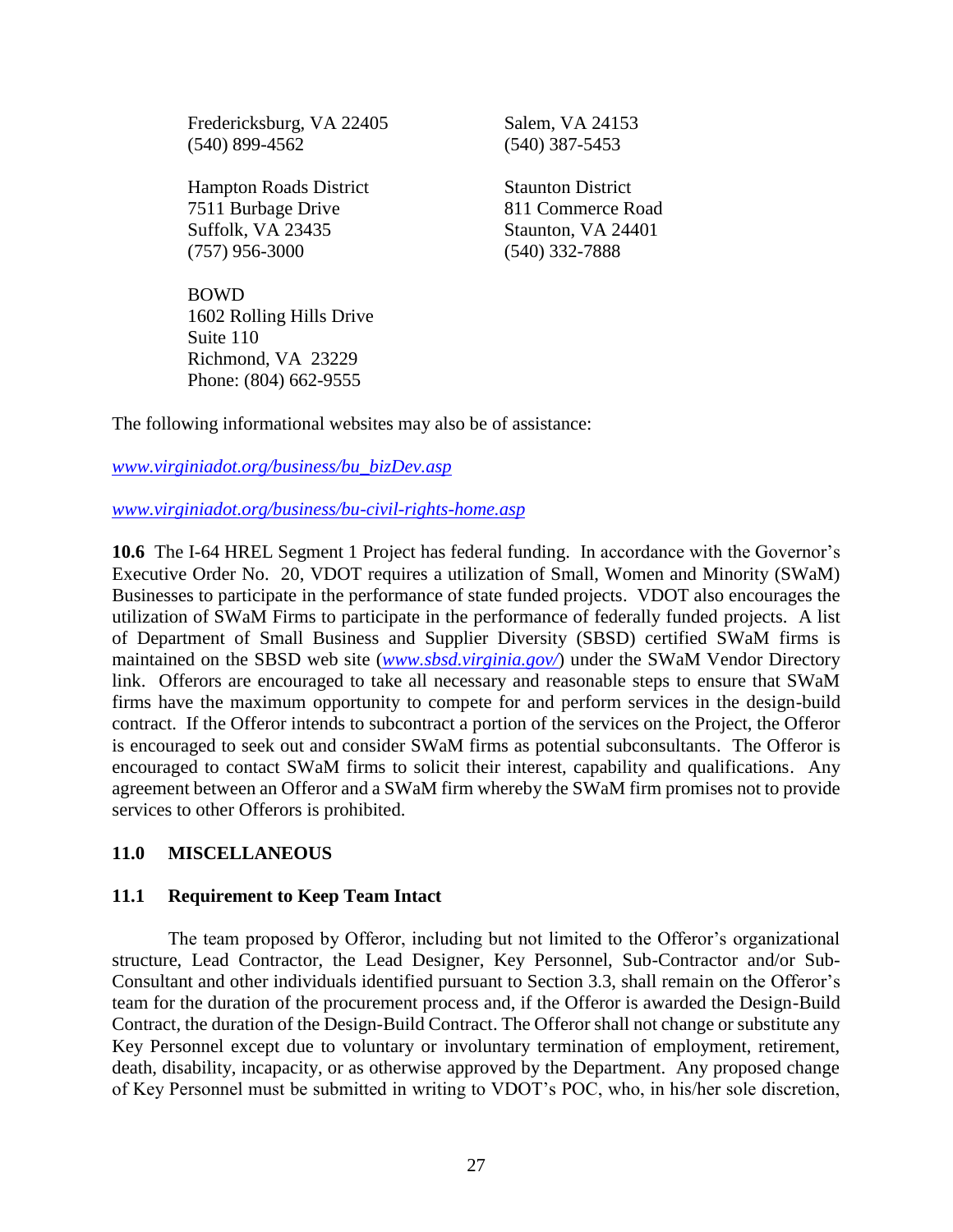Fredericksburg, VA 22405 Salem, VA 24153 (540) 899-4562 (540) 387-5453

Hampton Roads District Staunton District 7511 Burbage Drive 811 Commerce Road Suffolk, VA 23435 Staunton, VA 24401 (757) 956-3000 (540) 332-7888

BOWD 1602 Rolling Hills Drive Suite 110 Richmond, VA 23229 Phone: (804) 662-9555

The following informational websites may also be of assistance:

## *[www.virginiadot.org/business/bu\\_bizDev.asp](http://www.virginiadot.org/business/bu_bizDev.asp)*

*[www.virginiadot.org/business/bu-civil-rights-home.asp](http://www.virginiadot.org/business/bu-civil-rights-home.asp)*

**10.6** The I-64 HREL Segment 1 Project has federal funding. In accordance with the Governor's Executive Order No. 20, VDOT requires a utilization of Small, Women and Minority (SWaM) Businesses to participate in the performance of state funded projects. VDOT also encourages the utilization of SWaM Firms to participate in the performance of federally funded projects. A list of Department of Small Business and Supplier Diversity (SBSD) certified SWaM firms is maintained on the SBSD web site (*[www.sbsd.virginia.gov/](http://www.sbsd.virginia.gov/)*) under the SWaM Vendor Directory link. Offerors are encouraged to take all necessary and reasonable steps to ensure that SWaM firms have the maximum opportunity to compete for and perform services in the design-build contract. If the Offeror intends to subcontract a portion of the services on the Project, the Offeror is encouraged to seek out and consider SWaM firms as potential subconsultants. The Offeror is encouraged to contact SWaM firms to solicit their interest, capability and qualifications. Any agreement between an Offeror and a SWaM firm whereby the SWaM firm promises not to provide services to other Offerors is prohibited.

# <span id="page-26-0"></span>**11.0 MISCELLANEOUS**

#### <span id="page-26-1"></span>**11.1 Requirement to Keep Team Intact**

The team proposed by Offeror, including but not limited to the Offeror's organizational structure, Lead Contractor, the Lead Designer, Key Personnel, Sub-Contractor and/or Sub-Consultant and other individuals identified pursuant to Section 3.3, shall remain on the Offeror's team for the duration of the procurement process and, if the Offeror is awarded the Design-Build Contract, the duration of the Design-Build Contract. The Offeror shall not change or substitute any Key Personnel except due to voluntary or involuntary termination of employment, retirement, death, disability, incapacity, or as otherwise approved by the Department. Any proposed change of Key Personnel must be submitted in writing to VDOT's POC, who, in his/her sole discretion,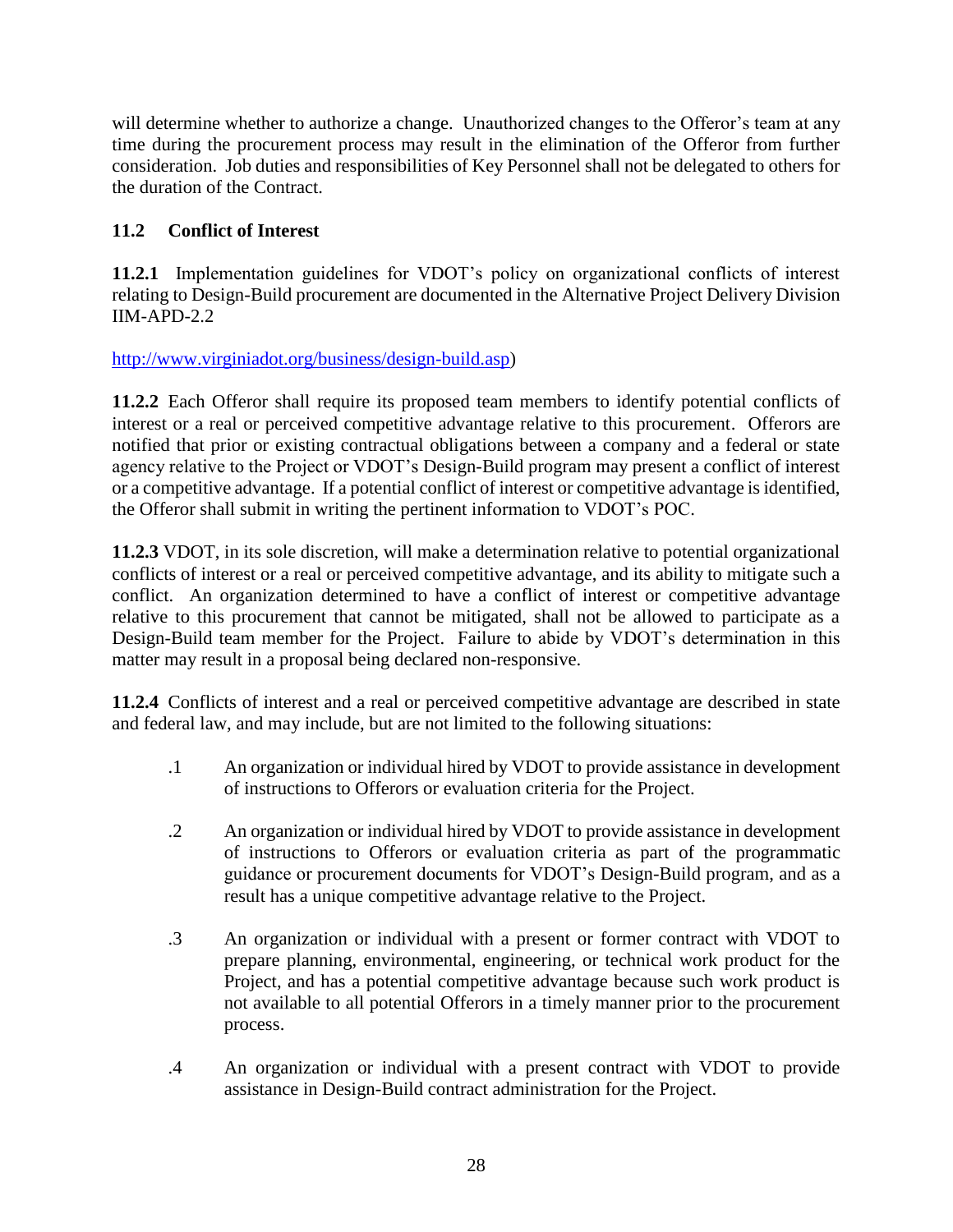will determine whether to authorize a change. Unauthorized changes to the Offeror's team at any time during the procurement process may result in the elimination of the Offeror from further consideration. Job duties and responsibilities of Key Personnel shall not be delegated to others for the duration of the Contract.

# <span id="page-27-0"></span>**11.2 Conflict of Interest**

**11.2.1** Implementation guidelines for VDOT's policy on organizational conflicts of interest relating to Design-Build procurement are documented in the Alternative Project Delivery Division IIM-APD-2.2

[http://www.virginiadot.org/business/design-build.asp\)](http://www.virginiadot.org/business/design-build.asp)

**11.2.2** Each Offeror shall require its proposed team members to identify potential conflicts of interest or a real or perceived competitive advantage relative to this procurement. Offerors are notified that prior or existing contractual obligations between a company and a federal or state agency relative to the Project or VDOT's Design-Build program may present a conflict of interest or a competitive advantage. If a potential conflict of interest or competitive advantage is identified, the Offeror shall submit in writing the pertinent information to VDOT's POC.

**11.2.3** VDOT, in its sole discretion, will make a determination relative to potential organizational conflicts of interest or a real or perceived competitive advantage, and its ability to mitigate such a conflict. An organization determined to have a conflict of interest or competitive advantage relative to this procurement that cannot be mitigated, shall not be allowed to participate as a Design-Build team member for the Project. Failure to abide by VDOT's determination in this matter may result in a proposal being declared non-responsive.

**11.2.4** Conflicts of interest and a real or perceived competitive advantage are described in state and federal law, and may include, but are not limited to the following situations:

- .1 An organization or individual hired by VDOT to provide assistance in development of instructions to Offerors or evaluation criteria for the Project.
- .2 An organization or individual hired by VDOT to provide assistance in development of instructions to Offerors or evaluation criteria as part of the programmatic guidance or procurement documents for VDOT's Design-Build program, and as a result has a unique competitive advantage relative to the Project.
- .3 An organization or individual with a present or former contract with VDOT to prepare planning, environmental, engineering, or technical work product for the Project, and has a potential competitive advantage because such work product is not available to all potential Offerors in a timely manner prior to the procurement process.
- .4 An organization or individual with a present contract with VDOT to provide assistance in Design-Build contract administration for the Project.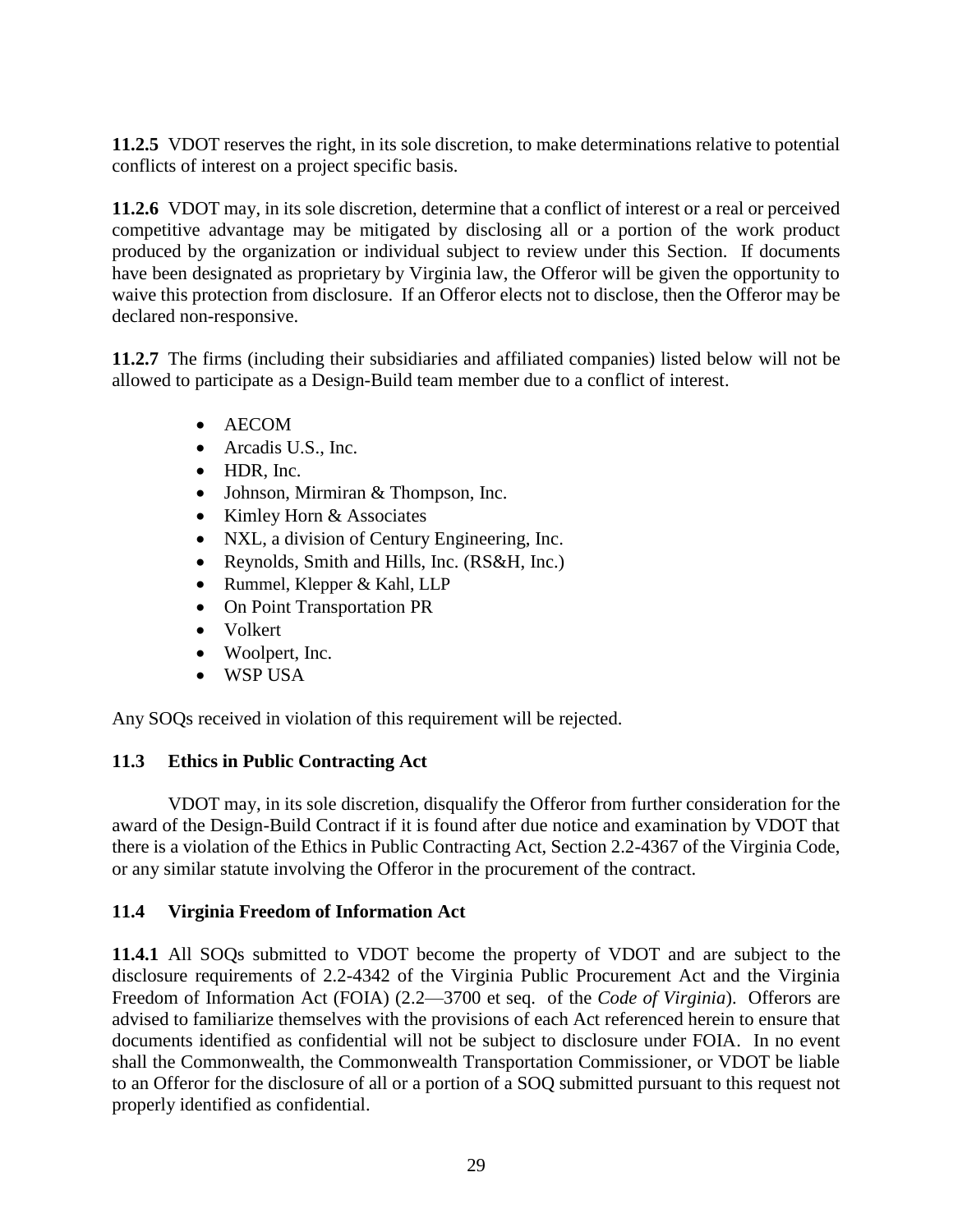**11.2.5** VDOT reserves the right, in its sole discretion, to make determinations relative to potential conflicts of interest on a project specific basis.

**11.2.6** VDOT may, in its sole discretion, determine that a conflict of interest or a real or perceived competitive advantage may be mitigated by disclosing all or a portion of the work product produced by the organization or individual subject to review under this Section. If documents have been designated as proprietary by Virginia law, the Offeror will be given the opportunity to waive this protection from disclosure. If an Offeror elects not to disclose, then the Offeror may be declared non-responsive.

**11.2.7** The firms (including their subsidiaries and affiliated companies) listed below will not be allowed to participate as a Design-Build team member due to a conflict of interest.

- AECOM
- Arcadis U.S., Inc.
- HDR, Inc.
- Johnson, Mirmiran & Thompson, Inc.
- Kimley Horn & Associates
- NXL, a division of [Century Engineering, Inc.](https://www.centuryeng.com/)
- Reynolds, Smith and Hills, Inc. (RS&H, Inc.)
- Rummel, Klepper & Kahl, LLP
- On Point Transportation PR
- Volkert
- Woolpert, Inc.
- WSP USA

Any SOQs received in violation of this requirement will be rejected.

# <span id="page-28-0"></span>**11.3 Ethics in Public Contracting Act**

VDOT may, in its sole discretion, disqualify the Offeror from further consideration for the award of the Design-Build Contract if it is found after due notice and examination by VDOT that there is a violation of the Ethics in Public Contracting Act, Section 2.2-4367 of the Virginia Code, or any similar statute involving the Offeror in the procurement of the contract.

# <span id="page-28-1"></span>**11.4 Virginia Freedom of Information Act**

**11.4.1** All SOQs submitted to VDOT become the property of VDOT and are subject to the disclosure requirements of 2.2-4342 of the Virginia Public Procurement Act and the Virginia Freedom of Information Act (FOIA) (2.2—3700 et seq. of the *Code of Virginia*). Offerors are advised to familiarize themselves with the provisions of each Act referenced herein to ensure that documents identified as confidential will not be subject to disclosure under FOIA. In no event shall the Commonwealth, the Commonwealth Transportation Commissioner, or VDOT be liable to an Offeror for the disclosure of all or a portion of a SOQ submitted pursuant to this request not properly identified as confidential.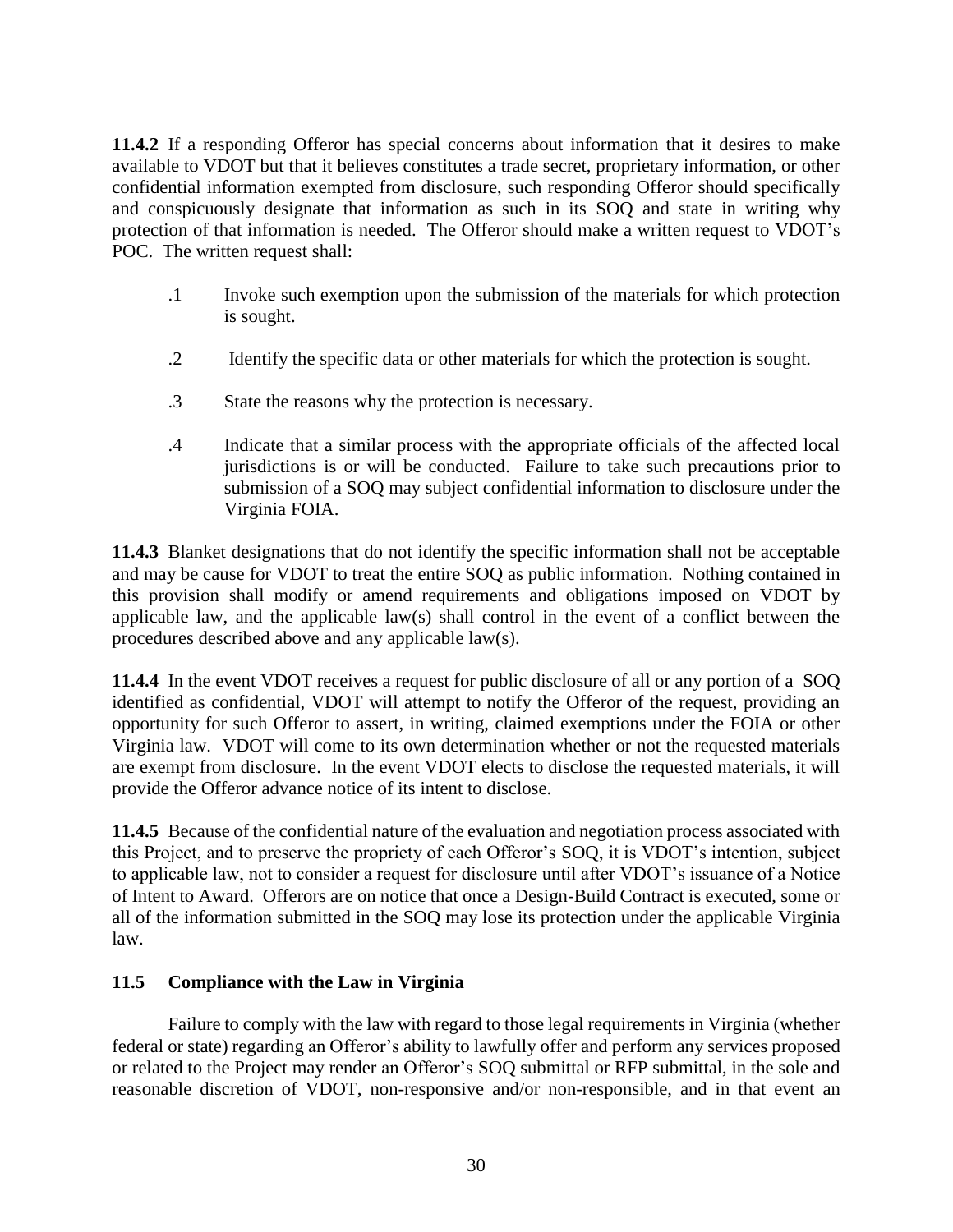**11.4.2** If a responding Offeror has special concerns about information that it desires to make available to VDOT but that it believes constitutes a trade secret, proprietary information, or other confidential information exempted from disclosure, such responding Offeror should specifically and conspicuously designate that information as such in its SOQ and state in writing why protection of that information is needed. The Offeror should make a written request to VDOT's POC. The written request shall:

- .1 Invoke such exemption upon the submission of the materials for which protection is sought.
- .2 Identify the specific data or other materials for which the protection is sought.
- .3 State the reasons why the protection is necessary.
- .4 Indicate that a similar process with the appropriate officials of the affected local jurisdictions is or will be conducted. Failure to take such precautions prior to submission of a SOQ may subject confidential information to disclosure under the Virginia FOIA.

**11.4.3** Blanket designations that do not identify the specific information shall not be acceptable and may be cause for VDOT to treat the entire SOQ as public information. Nothing contained in this provision shall modify or amend requirements and obligations imposed on VDOT by applicable law, and the applicable law(s) shall control in the event of a conflict between the procedures described above and any applicable law(s).

**11.4.4** In the event VDOT receives a request for public disclosure of all or any portion of a SOQ identified as confidential, VDOT will attempt to notify the Offeror of the request, providing an opportunity for such Offeror to assert, in writing, claimed exemptions under the FOIA or other Virginia law. VDOT will come to its own determination whether or not the requested materials are exempt from disclosure. In the event VDOT elects to disclose the requested materials, it will provide the Offeror advance notice of its intent to disclose.

**11.4.5** Because of the confidential nature of the evaluation and negotiation process associated with this Project, and to preserve the propriety of each Offeror's SOQ, it is VDOT's intention, subject to applicable law, not to consider a request for disclosure until after VDOT's issuance of a Notice of Intent to Award. Offerors are on notice that once a Design-Build Contract is executed, some or all of the information submitted in the SOQ may lose its protection under the applicable Virginia law.

# <span id="page-29-0"></span>**11.5 Compliance with the Law in Virginia**

Failure to comply with the law with regard to those legal requirements in Virginia (whether federal or state) regarding an Offeror's ability to lawfully offer and perform any services proposed or related to the Project may render an Offeror's SOQ submittal or RFP submittal, in the sole and reasonable discretion of VDOT, non-responsive and/or non-responsible, and in that event an